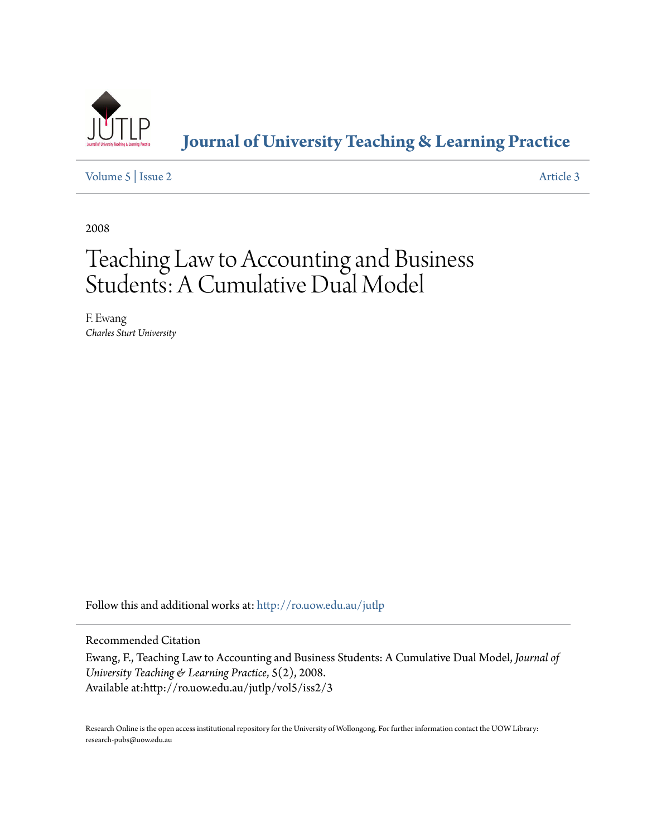

**[Journal of University Teaching & Learning Practice](http://ro.uow.edu.au/jutlp?utm_source=ro.uow.edu.au%2Fjutlp%2Fvol5%2Fiss2%2F3&utm_medium=PDF&utm_campaign=PDFCoverPages)**

[Volume 5](http://ro.uow.edu.au/jutlp/vol5?utm_source=ro.uow.edu.au%2Fjutlp%2Fvol5%2Fiss2%2F3&utm_medium=PDF&utm_campaign=PDFCoverPages) | [Issue 2](http://ro.uow.edu.au/jutlp/vol5/iss2?utm_source=ro.uow.edu.au%2Fjutlp%2Fvol5%2Fiss2%2F3&utm_medium=PDF&utm_campaign=PDFCoverPages) [Article 3](http://ro.uow.edu.au/jutlp/vol5/iss2/3?utm_source=ro.uow.edu.au%2Fjutlp%2Fvol5%2Fiss2%2F3&utm_medium=PDF&utm_campaign=PDFCoverPages)

2008

# Teaching Law to Accounting and Business Students: A Cumulative Dual Model

F. Ewang *Charles Sturt University*

Follow this and additional works at: [http://ro.uow.edu.au/jutlp](http://ro.uow.edu.au/jutlp?utm_source=ro.uow.edu.au%2Fjutlp%2Fvol5%2Fiss2%2F3&utm_medium=PDF&utm_campaign=PDFCoverPages)

Recommended Citation

Ewang, F., Teaching Law to Accounting and Business Students: A Cumulative Dual Model, *Journal of University Teaching & Learning Practice*, 5(2), 2008. Available at:http://ro.uow.edu.au/jutlp/vol5/iss2/3

Research Online is the open access institutional repository for the University of Wollongong. For further information contact the UOW Library: research-pubs@uow.edu.au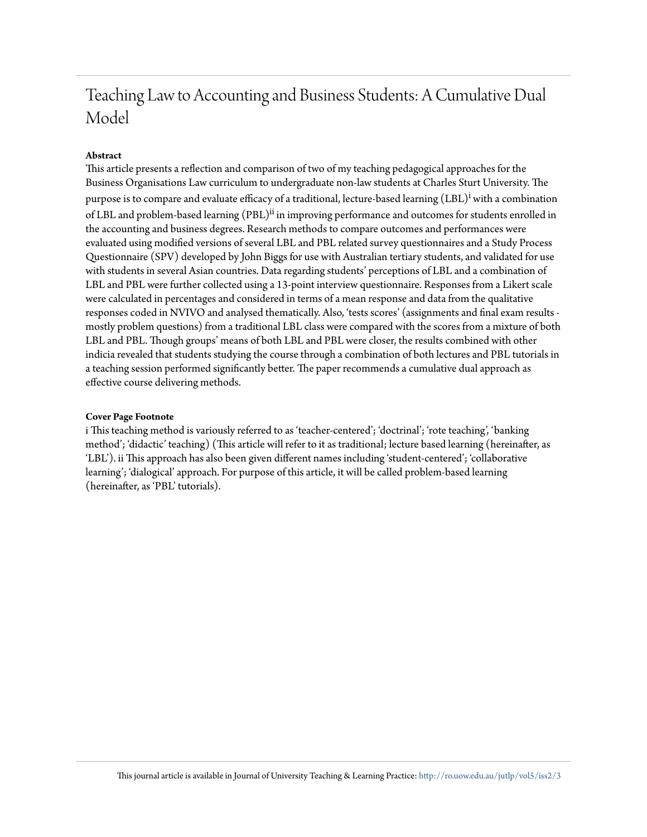#### **Abstract**

This article presents a reflection and comparison of two of my teaching pedagogical approaches for the Business Organisations Law curriculum to undergraduate non-law students at Charles Sturt University. The purpose is to compare and evaluate efficacy of a traditional, lecture-based learning (LBL)<sup>i</sup> with a combination of LBL and problem-based learning (PBL)<sup>ii</sup> in improving performance and outcomes for students enrolled in the accounting and business degrees. Research methods to compare outcomes and performances were evaluated using modified versions of several LBL and PBL related survey questionnaires and a Study Process Questionnaire (SPV) developed by John Biggs for use with Australian tertiary students, and validated for use with students in several Asian countries. Data regarding students' perceptions of LBL and a combination of LBL and PBL were further collected using a 13-point interview questionnaire. Responses from a Likert scale were calculated in percentages and considered in terms of a mean response and data from the qualitative responses coded in NVIVO and analysed thematically. Also, 'tests scores' (assignments and final exam results mostly problem questions) from a traditional LBL class were compared with the scores from a mixture of both LBL and PBL. Though groups' means of both LBL and PBL were closer, the results combined with other indicia revealed that students studying the course through a combination of both lectures and PBL tutorials in a teaching session performed significantly better. The paper recommends a cumulative dual approach as effective course delivering methods.

#### **Cover Page Footnote**

i This teaching method is variously referred to as 'teacher-centered'; 'doctrinal'; 'rote teaching', 'banking method'; 'didactic' teaching) (This article will refer to it as traditional; lecture based learning (hereinafter, as 'LBL'). ii This approach has also been given different names including 'student-centered'; 'collaborative learning'; 'dialogical' approach. For purpose of this article, it will be called problem-based learning (hereinafter, as 'PBL' tutorials).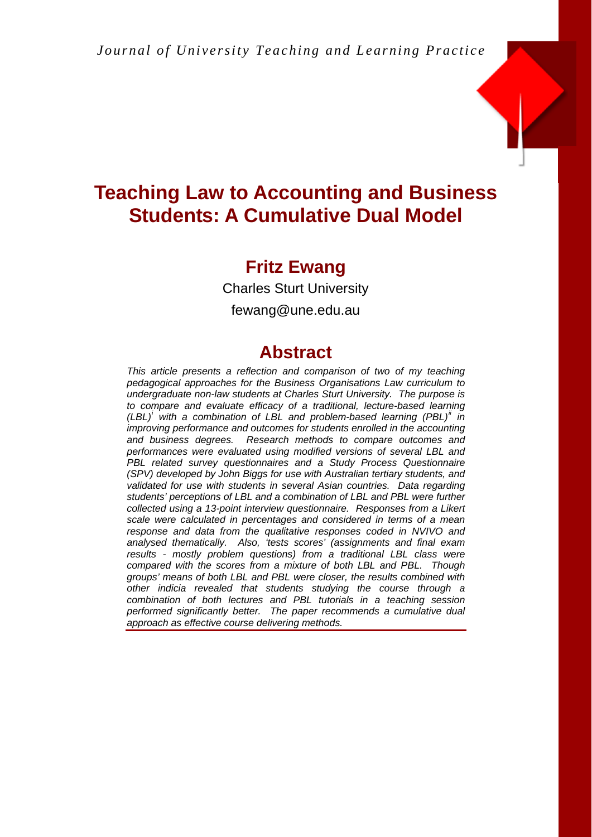

### **Fritz Ewang**

Charles Sturt University

fewang@une.edu.au

### **Abstract**

*This article presents a reflection and comparison of two of my teaching pedagogical approaches for the Business Organisations Law curriculum to undergraduate non-law students at Charles Sturt University. The purpose is to compare and evaluate efficacy of a traditional, lecture-based learning (LBL)<sup><[i](#page-24-0)>i*</sup> with a combination of LBL and problem-based learning (PBL)<sup>*[ii](#page-24-1)*</sup> in *improving performance and outcomes for students enrolled in the accounting and business degrees. Research methods to compare outcomes and performances were evaluated using modified versions of several LBL and*  **PBL related survey questionnaires and a Study Process Questionnaire** *(SPV) developed by John Biggs for use with Australian tertiary students, and*  validated for use with students in several Asian countries. Data regarding *students' perceptions of LBL and a combination of LBL and PBL were further collected using a 13-point interview questionnaire. Responses from a Likert scale were calculated in percentages and considered in terms of a mean response and data from the qualitative responses coded in NVIVO and analysed thematically. Also, 'tests scores' (assignments and final exam results - mostly problem questions) from a traditional LBL class were compared with the scores from a mixture of both LBL and PBL. Though groups' means of both LBL and PBL were closer, the results combined with other indicia revealed that students studying the course through a combination of both lectures and PBL tutorials in a teaching session performed significantly better. The paper recommends a cumulative dual approach as effective course delivering methods.*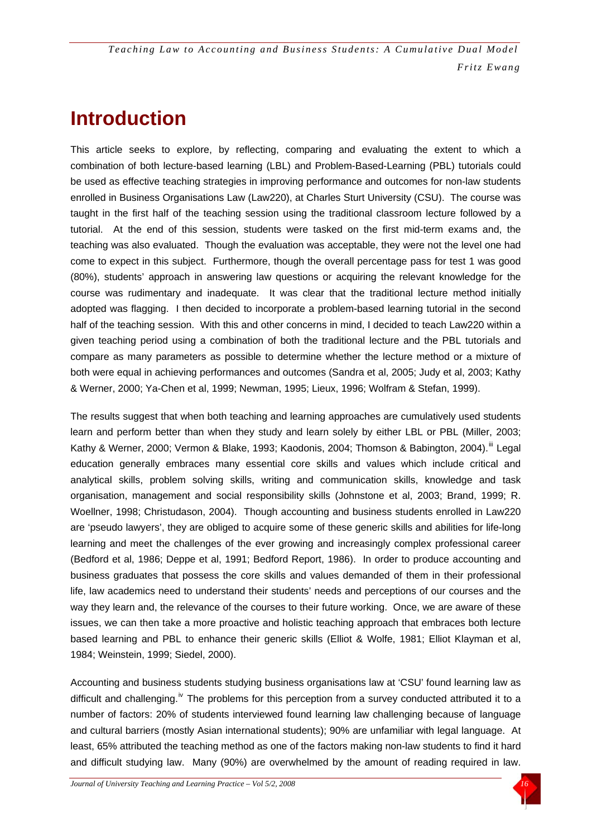## **Introduction**

This article seeks to explore, by reflecting, comparing and evaluating the extent to which a combination of both lecture-based learning (LBL) and Problem-Based-Learning (PBL) tutorials could be used as effective teaching strategies in improving performance and outcomes for non-law students enrolled in Business Organisations Law (Law220), at Charles Sturt University (CSU). The course was taught in the first half of the teaching session using the traditional classroom lecture followed by a tutorial. At the end of this session, students were tasked on the first mid-term exams and, the teaching was also evaluated. Though the evaluation was acceptable, they were not the level one had come to expect in this subject. Furthermore, though the overall percentage pass for test 1 was good (80%), students' approach in answering law questions or acquiring the relevant knowledge for the course was rudimentary and inadequate. It was clear that the traditional lecture method initially adopted was flagging. I then decided to incorporate a problem-based learning tutorial in the second half of the teaching session. With this and other concerns in mind, I decided to teach Law220 within a given teaching period using a combination of both the traditional lecture and the PBL tutorials and compare as many parameters as possible to determine whether the lecture method or a mixture of both were equal in achieving performances and outcomes (Sandra et al, 2005; Judy et al, 2003; Kathy & Werner, 2000; Ya-Chen et al, 1999; Newman, 1995; Lieux, 1996; Wolfram & Stefan, 1999).

The results suggest that when both teaching and learning approaches are cumulatively used students learn and perform better than when they study and learn solely by either LBL or PBL (Miller, 2003; Kathy & Werner, 2000; Vermon & Blake, 1993; Kaodonis, 2004; Thomson & Babington, 2004).<sup>[iii](#page-24-2)</sup> Legal education generally embraces many essential core skills and values which include critical and analytical skills, problem solving skills, writing and communication skills, knowledge and task organisation, management and social responsibility skills (Johnstone et al, 2003; Brand, 1999; R. Woellner, 1998; Christudason, 2004). Though accounting and business students enrolled in Law220 are 'pseudo lawyers', they are obliged to acquire some of these generic skills and abilities for life-long learning and meet the challenges of the ever growing and increasingly complex professional career (Bedford et al, 1986; Deppe et al, 1991; Bedford Report, 1986). In order to produce accounting and business graduates that possess the core skills and values demanded of them in their professional life, law academics need to understand their students' needs and perceptions of our courses and the way they learn and, the relevance of the courses to their future working. Once, we are aware of these issues, we can then take a more proactive and holistic teaching approach that embraces both lecture based learning and PBL to enhance their generic skills (Elliot & Wolfe, 1981; Elliot Klayman et al, 1984; Weinstein, 1999; Siedel, 2000).

Accounting and business students studying business organisations law at 'CSU' found learning law as difficult and challenging.<sup>[iv](#page-24-2)</sup> The problems for this perception from a survey conducted attributed it to a number of factors: 20% of students interviewed found learning law challenging because of language and cultural barriers (mostly Asian international students); 90% are unfamiliar with legal language. At least, 65% attributed the teaching method as one of the factors making non-law students to find it hard and difficult studying law. Many (90%) are overwhelmed by the amount of reading required in law.

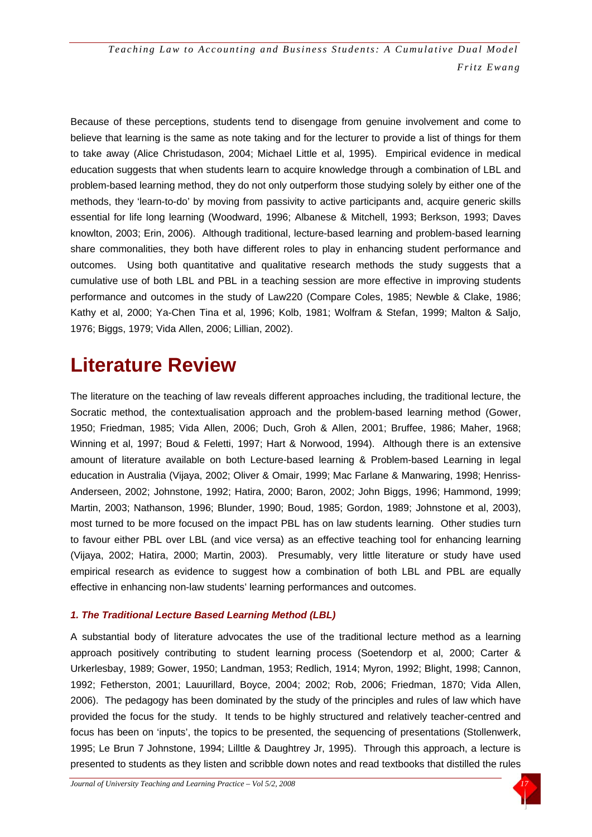Because of these perceptions, students tend to disengage from genuine involvement and come to believe that learning is the same as note taking and for the lecturer to provide a list of things for them to take away (Alice Christudason, 2004; Michael Little et al, 1995). Empirical evidence in medical education suggests that when students learn to acquire knowledge through a combination of LBL and problem-based learning method, they do not only outperform those studying solely by either one of the methods, they 'learn-to-do' by moving from passivity to active participants and, acquire generic skills essential for life long learning (Woodward, 1996; Albanese & Mitchell, 1993; Berkson, 1993; Daves knowlton, 2003; Erin, 2006). Although traditional, lecture-based learning and problem-based learning share commonalities, they both have different roles to play in enhancing student performance and outcomes. Using both quantitative and qualitative research methods the study suggests that a cumulative use of both LBL and PBL in a teaching session are more effective in improving students performance and outcomes in the study of Law220 (Compare Coles, 1985; Newble & Clake, 1986; Kathy et al, 2000; Ya-Chen Tina et al, 1996; Kolb, 1981; Wolfram & Stefan, 1999; Malton & Saljo, 1976; Biggs, 1979; Vida Allen, 2006; Lillian, 2002).

## **Literature Review**

The literature on the teaching of law reveals different approaches including, the traditional lecture, the Socratic method, the contextualisation approach and the problem-based learning method (Gower, 1950; Friedman, 1985; Vida Allen, 2006; Duch, Groh & Allen, 2001; Bruffee, 1986; Maher, 1968; Winning et al, 1997; Boud & Feletti, 1997; Hart & Norwood, 1994). Although there is an extensive amount of literature available on both Lecture-based learning & Problem-based Learning in legal education in Australia (Vijaya, 2002; Oliver & Omair, 1999; Mac Farlane & Manwaring, 1998; Henriss-Anderseen, 2002; Johnstone, 1992; Hatira, 2000; Baron, 2002; John Biggs, 1996; Hammond, 1999; Martin, 2003; Nathanson, 1996; Blunder, 1990; Boud, 1985; Gordon, 1989; Johnstone et al, 2003), most turned to be more focused on the impact PBL has on law students learning. Other studies turn to favour either PBL over LBL (and vice versa) as an effective teaching tool for enhancing learning (Vijaya, 2002; Hatira, 2000; Martin, 2003). Presumably, very little literature or study have used empirical research as evidence to suggest how a combination of both LBL and PBL are equally effective in enhancing non-law students' learning performances and outcomes.

#### *1. The Traditional Lecture Based Learning Method (LBL)*

A substantial body of literature advocates the use of the traditional lecture method as a learning approach positively contributing to student learning process (Soetendorp et al, 2000; Carter & Urkerlesbay, 1989; Gower, 1950; Landman, 1953; Redlich, 1914; Myron, 1992; Blight, 1998; Cannon, 1992; Fetherston, 2001; Lauurillard, Boyce, 2004; 2002; Rob, 2006; Friedman, 1870; Vida Allen, 2006). The pedagogy has been dominated by the study of the principles and rules of law which have provided the focus for the study. It tends to be highly structured and relatively teacher-centred and focus has been on 'inputs', the topics to be presented, the sequencing of presentations (Stollenwerk, 1995; Le Brun 7 Johnstone, 1994; Lilltle & Daughtrey Jr, 1995). Through this approach, a lecture is presented to students as they listen and scribble down notes and read textbooks that distilled the rules

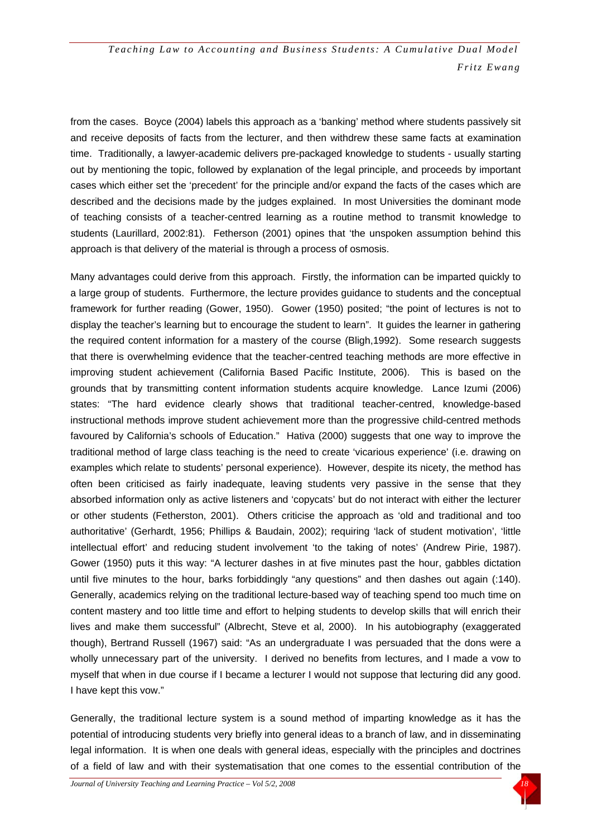from the cases. Boyce (2004) labels this approach as a 'banking' method where students passively sit and receive deposits of facts from the lecturer, and then withdrew these same facts at examination time. Traditionally, a lawyer-academic delivers pre-packaged knowledge to students - usually starting out by mentioning the topic, followed by explanation of the legal principle, and proceeds by important cases which either set the 'precedent' for the principle and/or expand the facts of the cases which are described and the decisions made by the judges explained. In most Universities the dominant mode of teaching consists of a teacher-centred learning as a routine method to transmit knowledge to students (Laurillard, 2002:81). Fetherson (2001) opines that 'the unspoken assumption behind this approach is that delivery of the material is through a process of osmosis.

Many advantages could derive from this approach. Firstly, the information can be imparted quickly to a large group of students. Furthermore, the lecture provides guidance to students and the conceptual framework for further reading (Gower, 1950). Gower (1950) posited; "the point of lectures is not to display the teacher's learning but to encourage the student to learn". It guides the learner in gathering the required content information for a mastery of the course (Bligh,1992). Some research suggests that there is overwhelming evidence that the teacher-centred teaching methods are more effective in improving student achievement (California Based Pacific Institute, 2006). This is based on the grounds that by transmitting content information students acquire knowledge. Lance Izumi (2006) states: "The hard evidence clearly shows that traditional teacher-centred, knowledge-based instructional methods improve student achievement more than the progressive child-centred methods favoured by California's schools of Education." Hativa (2000) suggests that one way to improve the traditional method of large class teaching is the need to create 'vicarious experience' (i.e. drawing on examples which relate to students' personal experience). However, despite its nicety, the method has often been criticised as fairly inadequate, leaving students very passive in the sense that they absorbed information only as active listeners and 'copycats' but do not interact with either the lecturer or other students (Fetherston, 2001). Others criticise the approach as 'old and traditional and too authoritative' (Gerhardt, 1956; Phillips & Baudain, 2002); requiring 'lack of student motivation', 'little intellectual effort' and reducing student involvement 'to the taking of notes' (Andrew Pirie, 1987). Gower (1950) puts it this way: "A lecturer dashes in at five minutes past the hour, gabbles dictation until five minutes to the hour, barks forbiddingly "any questions" and then dashes out again (:140). Generally, academics relying on the traditional lecture-based way of teaching spend too much time on content mastery and too little time and effort to helping students to develop skills that will enrich their lives and make them successful" (Albrecht, Steve et al, 2000). In his autobiography (exaggerated though), Bertrand Russell (1967) said: "As an undergraduate I was persuaded that the dons were a wholly unnecessary part of the university. I derived no benefits from lectures, and I made a vow to myself that when in due course if I became a lecturer I would not suppose that lecturing did any good. I have kept this vow."

Generally, the traditional lecture system is a sound method of imparting knowledge as it has the potential of introducing students very briefly into general ideas to a branch of law, and in disseminating legal information. It is when one deals with general ideas, especially with the principles and doctrines of a field of law and with their systematisation that one comes to the essential contribution of the

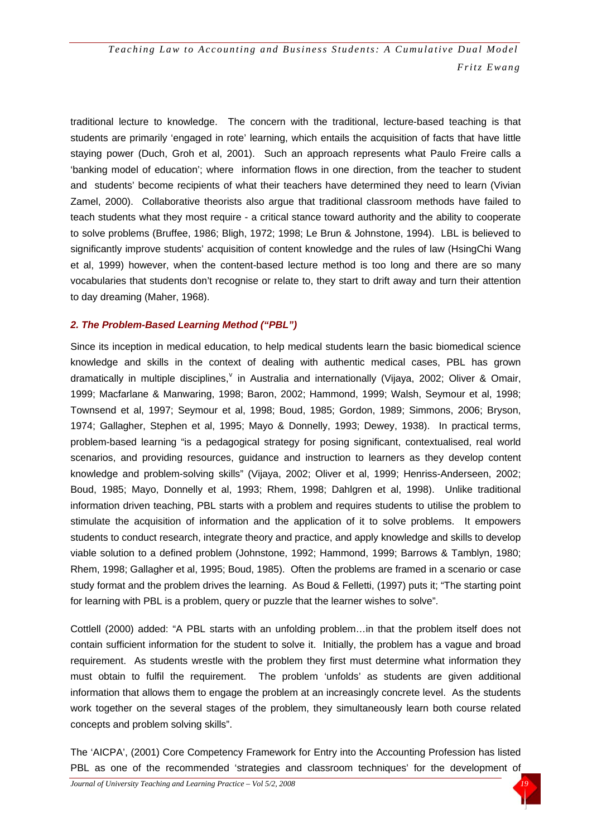traditional lecture to knowledge. The concern with the traditional, lecture-based teaching is that students are primarily 'engaged in rote' learning, which entails the acquisition of facts that have little staying power (Duch, Groh et al, 2001). Such an approach represents what Paulo Freire calls a 'banking model of education'; where information flows in one direction, from the teacher to student and students' become recipients of what their teachers have determined they need to learn (Vivian Zamel, 2000). Collaborative theorists also argue that traditional classroom methods have failed to teach students what they most require - a critical stance toward authority and the ability to cooperate to solve problems (Bruffee, 1986; Bligh, 1972; 1998; Le Brun & Johnstone, 1994). LBL is believed to significantly improve students' acquisition of content knowledge and the rules of law (HsingChi Wang et al, 1999) however, when the content-based lecture method is too long and there are so many vocabularies that students don't recognise or relate to, they start to drift away and turn their attention to day dreaming (Maher, 1968).

#### *2. The Problem-Based Learning Method ("PBL")*

Since its inception in medical education, to help medical students learn the basic biomedical science knowledge and skills in the context of dealing with authentic medical cases, PBL has grown dramatically in multiple disciplines, in Australia and internationally (Vijaya, 2002; Oli[v](#page-24-2)er & Omair, 1999; Macfarlane & Manwaring, 1998; Baron, 2002; Hammond, 1999; Walsh, Seymour et al, 1998; Townsend et al, 1997; Seymour et al, 1998; Boud, 1985; Gordon, 1989; Simmons, 2006; Bryson, 1974; Gallagher, Stephen et al, 1995; Mayo & Donnelly, 1993; Dewey, 1938). In practical terms, problem-based learning "is a pedagogical strategy for posing significant, contextualised, real world scenarios, and providing resources, guidance and instruction to learners as they develop content knowledge and problem-solving skills" (Vijaya, 2002; Oliver et al, 1999; Henriss-Anderseen, 2002; Boud, 1985; Mayo, Donnelly et al, 1993; Rhem, 1998; Dahlgren et al, 1998). Unlike traditional information driven teaching, PBL starts with a problem and requires students to utilise the problem to stimulate the acquisition of information and the application of it to solve problems. It empowers students to conduct research, integrate theory and practice, and apply knowledge and skills to develop viable solution to a defined problem (Johnstone, 1992; Hammond, 1999; Barrows & Tamblyn, 1980; Rhem, 1998; Gallagher et al, 1995; Boud, 1985). Often the problems are framed in a scenario or case study format and the problem drives the learning. As Boud & Felletti, (1997) puts it; "The starting point for learning with PBL is a problem, query or puzzle that the learner wishes to solve".

Cottlell (2000) added: "A PBL starts with an unfolding problem…in that the problem itself does not contain sufficient information for the student to solve it. Initially, the problem has a vague and broad requirement. As students wrestle with the problem they first must determine what information they must obtain to fulfil the requirement. The problem 'unfolds' as students are given additional information that allows them to engage the problem at an increasingly concrete level. As the students work together on the several stages of the problem, they simultaneously learn both course related concepts and problem solving skills".

The 'AICPA', (2001) Core Competency Framework for Entry into the Accounting Profession has listed PBL as one of the recommended 'strategies and classroom techniques' for the development of

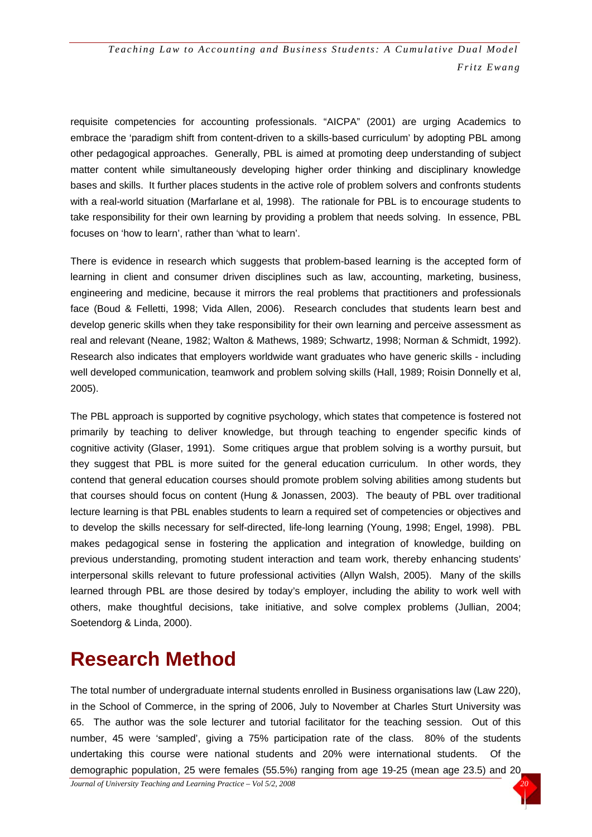requisite competencies for accounting professionals. "AICPA" (2001) are urging Academics to embrace the 'paradigm shift from content-driven to a skills-based curriculum' by adopting PBL among other pedagogical approaches. Generally, PBL is aimed at promoting deep understanding of subject matter content while simultaneously developing higher order thinking and disciplinary knowledge bases and skills. It further places students in the active role of problem solvers and confronts students with a real-world situation (Marfarlane et al, 1998). The rationale for PBL is to encourage students to take responsibility for their own learning by providing a problem that needs solving. In essence, PBL focuses on 'how to learn', rather than 'what to learn'.

There is evidence in research which suggests that problem-based learning is the accepted form of learning in client and consumer driven disciplines such as law, accounting, marketing, business, engineering and medicine, because it mirrors the real problems that practitioners and professionals face (Boud & Felletti, 1998; Vida Allen, 2006). Research concludes that students learn best and develop generic skills when they take responsibility for their own learning and perceive assessment as real and relevant (Neane, 1982; Walton & Mathews, 1989; Schwartz, 1998; Norman & Schmidt, 1992). Research also indicates that employers worldwide want graduates who have generic skills - including well developed communication, teamwork and problem solving skills (Hall, 1989; Roisin Donnelly et al, 2005).

The PBL approach is supported by cognitive psychology, which states that competence is fostered not primarily by teaching to deliver knowledge, but through teaching to engender specific kinds of cognitive activity (Glaser, 1991). Some critiques argue that problem solving is a worthy pursuit, but they suggest that PBL is more suited for the general education curriculum. In other words, they contend that general education courses should promote problem solving abilities among students but that courses should focus on content (Hung & Jonassen, 2003). The beauty of PBL over traditional lecture learning is that PBL enables students to learn a required set of competencies or objectives and to develop the skills necessary for self-directed, life-long learning (Young, 1998; Engel, 1998). PBL makes pedagogical sense in fostering the application and integration of knowledge, building on previous understanding, promoting student interaction and team work, thereby enhancing students' interpersonal skills relevant to future professional activities (Allyn Walsh, 2005). Many of the skills learned through PBL are those desired by today's employer, including the ability to work well with others, make thoughtful decisions, take initiative, and solve complex problems (Jullian, 2004; Soetendorg & Linda, 2000).

## **Research Method**

The total number of undergraduate internal students enrolled in Business organisations law (Law 220), in the School of Commerce, in the spring of 2006, July to November at Charles Sturt University was 65. The author was the sole lecturer and tutorial facilitator for the teaching session. Out of this number, 45 were 'sampled', giving a 75% participation rate of the class. 80% of the students undertaking this course were national students and 20% were international students. Of the demographic population, 25 were females (55.5%) ranging from age 19-25 (mean age 23.5) and 20

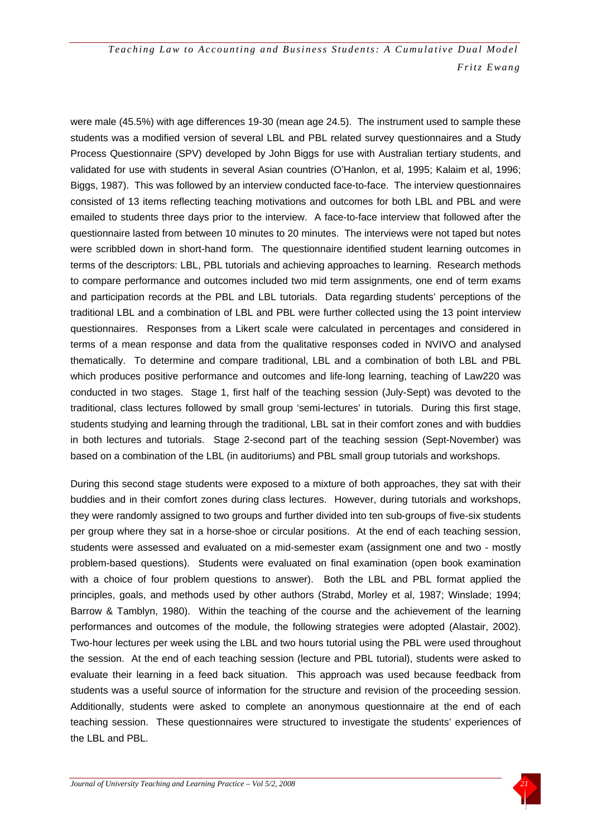were male (45.5%) with age differences 19-30 (mean age 24.5). The instrument used to sample these students was a modified version of several LBL and PBL related survey questionnaires and a Study Process Questionnaire (SPV) developed by John Biggs for use with Australian tertiary students, and validated for use with students in several Asian countries (O'Hanlon, et al, 1995; Kalaim et al, 1996; Biggs, 1987). This was followed by an interview conducted face-to-face. The interview questionnaires consisted of 13 items reflecting teaching motivations and outcomes for both LBL and PBL and were emailed to students three days prior to the interview. A face-to-face interview that followed after the questionnaire lasted from between 10 minutes to 20 minutes. The interviews were not taped but notes were scribbled down in short-hand form. The questionnaire identified student learning outcomes in terms of the descriptors: LBL, PBL tutorials and achieving approaches to learning. Research methods to compare performance and outcomes included two mid term assignments, one end of term exams and participation records at the PBL and LBL tutorials. Data regarding students' perceptions of the traditional LBL and a combination of LBL and PBL were further collected using the 13 point interview questionnaires. Responses from a Likert scale were calculated in percentages and considered in terms of a mean response and data from the qualitative responses coded in NVIVO and analysed thematically. To determine and compare traditional, LBL and a combination of both LBL and PBL which produces positive performance and outcomes and life-long learning, teaching of Law220 was conducted in two stages. Stage 1, first half of the teaching session (July-Sept) was devoted to the traditional, class lectures followed by small group 'semi-lectures' in tutorials. During this first stage, students studying and learning through the traditional, LBL sat in their comfort zones and with buddies in both lectures and tutorials. Stage 2-second part of the teaching session (Sept-November) was based on a combination of the LBL (in auditoriums) and PBL small group tutorials and workshops.

During this second stage students were exposed to a mixture of both approaches, they sat with their buddies and in their comfort zones during class lectures. However, during tutorials and workshops, they were randomly assigned to two groups and further divided into ten sub-groups of five-six students per group where they sat in a horse-shoe or circular positions. At the end of each teaching session, students were assessed and evaluated on a mid-semester exam (assignment one and two - mostly problem-based questions). Students were evaluated on final examination (open book examination with a choice of four problem questions to answer). Both the LBL and PBL format applied the principles, goals, and methods used by other authors (Strabd, Morley et al, 1987; Winslade; 1994; Barrow & Tamblyn, 1980). Within the teaching of the course and the achievement of the learning performances and outcomes of the module, the following strategies were adopted (Alastair, 2002). Two-hour lectures per week using the LBL and two hours tutorial using the PBL were used throughout the session. At the end of each teaching session (lecture and PBL tutorial), students were asked to evaluate their learning in a feed back situation. This approach was used because feedback from students was a useful source of information for the structure and revision of the proceeding session. Additionally, students were asked to complete an anonymous questionnaire at the end of each teaching session. These questionnaires were structured to investigate the students' experiences of the LBL and PBL.

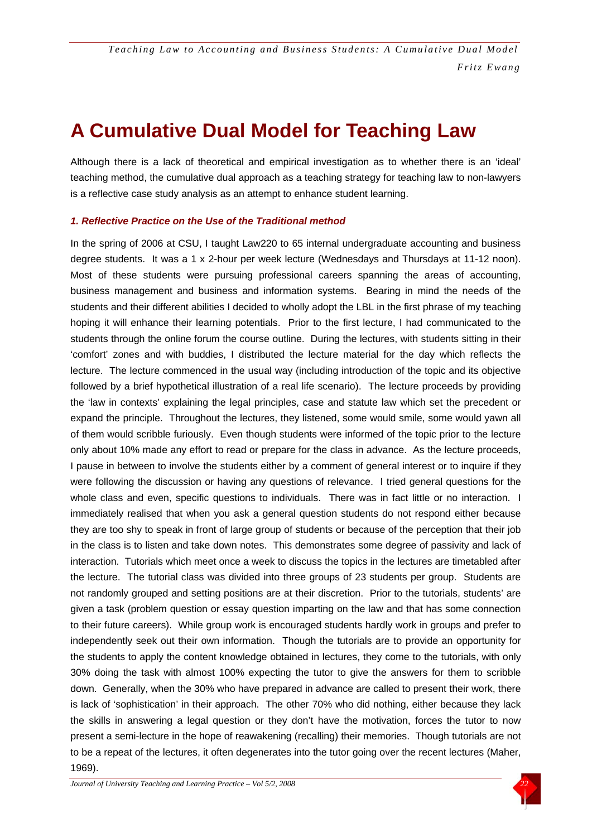## **A Cumulative Dual Model for Teaching Law**

Although there is a lack of theoretical and empirical investigation as to whether there is an 'ideal' teaching method, the cumulative dual approach as a teaching strategy for teaching law to non-lawyers is a reflective case study analysis as an attempt to enhance student learning.

#### *1. Reflective Practice on the Use of the Traditional method*

In the spring of 2006 at CSU, I taught Law220 to 65 internal undergraduate accounting and business degree students. It was a 1 x 2-hour per week lecture (Wednesdays and Thursdays at 11-12 noon). Most of these students were pursuing professional careers spanning the areas of accounting, business management and business and information systems. Bearing in mind the needs of the students and their different abilities I decided to wholly adopt the LBL in the first phrase of my teaching hoping it will enhance their learning potentials. Prior to the first lecture, I had communicated to the students through the online forum the course outline. During the lectures, with students sitting in their 'comfort' zones and with buddies, I distributed the lecture material for the day which reflects the lecture. The lecture commenced in the usual way (including introduction of the topic and its objective followed by a brief hypothetical illustration of a real life scenario). The lecture proceeds by providing the 'law in contexts' explaining the legal principles, case and statute law which set the precedent or expand the principle. Throughout the lectures, they listened, some would smile, some would yawn all of them would scribble furiously. Even though students were informed of the topic prior to the lecture only about 10% made any effort to read or prepare for the class in advance. As the lecture proceeds, I pause in between to involve the students either by a comment of general interest or to inquire if they were following the discussion or having any questions of relevance. I tried general questions for the whole class and even, specific questions to individuals. There was in fact little or no interaction. I immediately realised that when you ask a general question students do not respond either because they are too shy to speak in front of large group of students or because of the perception that their job in the class is to listen and take down notes. This demonstrates some degree of passivity and lack of interaction. Tutorials which meet once a week to discuss the topics in the lectures are timetabled after the lecture. The tutorial class was divided into three groups of 23 students per group. Students are not randomly grouped and setting positions are at their discretion. Prior to the tutorials, students' are given a task (problem question or essay question imparting on the law and that has some connection to their future careers). While group work is encouraged students hardly work in groups and prefer to independently seek out their own information. Though the tutorials are to provide an opportunity for the students to apply the content knowledge obtained in lectures, they come to the tutorials, with only 30% doing the task with almost 100% expecting the tutor to give the answers for them to scribble down. Generally, when the 30% who have prepared in advance are called to present their work, there is lack of 'sophistication' in their approach. The other 70% who did nothing, either because they lack the skills in answering a legal question or they don't have the motivation, forces the tutor to now present a semi-lecture in the hope of reawakening (recalling) their memories. Though tutorials are not to be a repeat of the lectures, it often degenerates into the tutor going over the recent lectures (Maher, 1969).

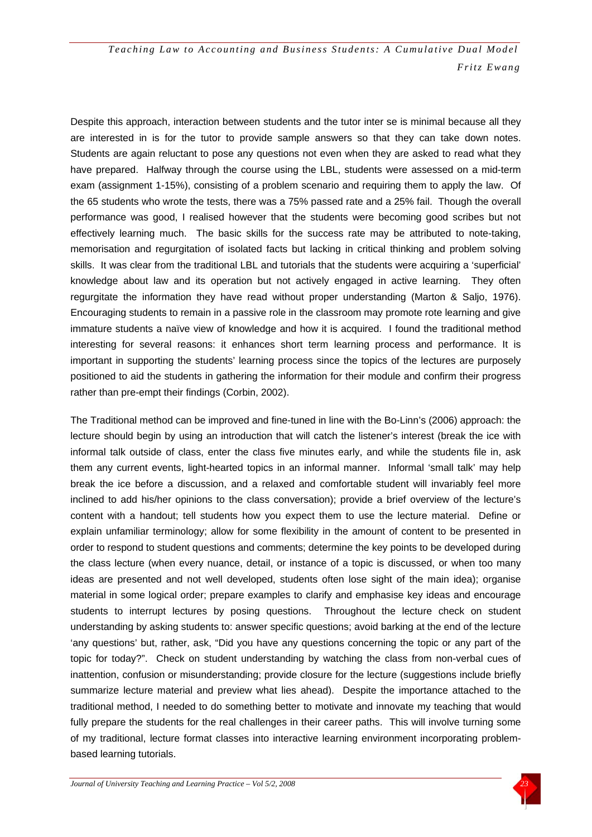Despite this approach, interaction between students and the tutor inter se is minimal because all they are interested in is for the tutor to provide sample answers so that they can take down notes. Students are again reluctant to pose any questions not even when they are asked to read what they have prepared. Halfway through the course using the LBL, students were assessed on a mid-term exam (assignment 1-15%), consisting of a problem scenario and requiring them to apply the law. Of the 65 students who wrote the tests, there was a 75% passed rate and a 25% fail. Though the overall performance was good, I realised however that the students were becoming good scribes but not effectively learning much. The basic skills for the success rate may be attributed to note-taking, memorisation and regurgitation of isolated facts but lacking in critical thinking and problem solving skills. It was clear from the traditional LBL and tutorials that the students were acquiring a 'superficial' knowledge about law and its operation but not actively engaged in active learning. They often regurgitate the information they have read without proper understanding (Marton & Saljo, 1976). Encouraging students to remain in a passive role in the classroom may promote rote learning and give immature students a naïve view of knowledge and how it is acquired. I found the traditional method interesting for several reasons: it enhances short term learning process and performance. It is important in supporting the students' learning process since the topics of the lectures are purposely positioned to aid the students in gathering the information for their module and confirm their progress rather than pre-empt their findings (Corbin, 2002).

The Traditional method can be improved and fine-tuned in line with the Bo-Linn's (2006) approach: the lecture should begin by using an introduction that will catch the listener's interest (break the ice with informal talk outside of class, enter the class five minutes early, and while the students file in, ask them any current events, light-hearted topics in an informal manner. Informal 'small talk' may help break the ice before a discussion, and a relaxed and comfortable student will invariably feel more inclined to add his/her opinions to the class conversation); provide a brief overview of the lecture's content with a handout; tell students how you expect them to use the lecture material. Define or explain unfamiliar terminology; allow for some flexibility in the amount of content to be presented in order to respond to student questions and comments; determine the key points to be developed during the class lecture (when every nuance, detail, or instance of a topic is discussed, or when too many ideas are presented and not well developed, students often lose sight of the main idea); organise material in some logical order; prepare examples to clarify and emphasise key ideas and encourage students to interrupt lectures by posing questions. Throughout the lecture check on student understanding by asking students to: answer specific questions; avoid barking at the end of the lecture 'any questions' but, rather, ask, "Did you have any questions concerning the topic or any part of the topic for today?". Check on student understanding by watching the class from non-verbal cues of inattention, confusion or misunderstanding; provide closure for the lecture (suggestions include briefly summarize lecture material and preview what lies ahead). Despite the importance attached to the traditional method, I needed to do something better to motivate and innovate my teaching that would fully prepare the students for the real challenges in their career paths. This will involve turning some of my traditional, lecture format classes into interactive learning environment incorporating problembased learning tutorials.

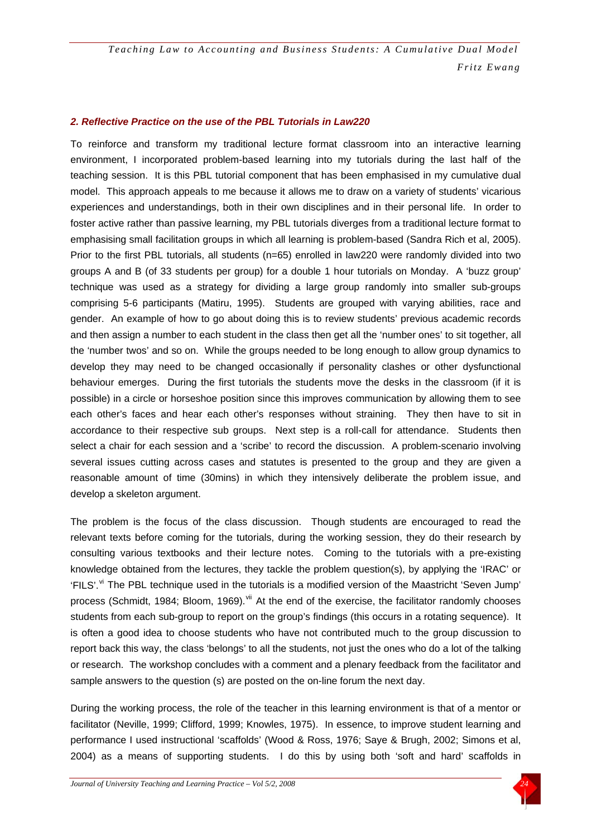#### *2. Reflective Practice on the use of the PBL Tutorials in Law220*

To reinforce and transform my traditional lecture format classroom into an interactive learning environment, I incorporated problem-based learning into my tutorials during the last half of the teaching session. It is this PBL tutorial component that has been emphasised in my cumulative dual model. This approach appeals to me because it allows me to draw on a variety of students' vicarious experiences and understandings, both in their own disciplines and in their personal life. In order to foster active rather than passive learning, my PBL tutorials diverges from a traditional lecture format to emphasising small facilitation groups in which all learning is problem-based (Sandra Rich et al, 2005). Prior to the first PBL tutorials, all students (n=65) enrolled in law220 were randomly divided into two groups A and B (of 33 students per group) for a double 1 hour tutorials on Monday. A 'buzz group' technique was used as a strategy for dividing a large group randomly into smaller sub-groups comprising 5-6 participants (Matiru, 1995). Students are grouped with varying abilities, race and gender. An example of how to go about doing this is to review students' previous academic records and then assign a number to each student in the class then get all the 'number ones' to sit together, all the 'number twos' and so on. While the groups needed to be long enough to allow group dynamics to develop they may need to be changed occasionally if personality clashes or other dysfunctional behaviour emerges. During the first tutorials the students move the desks in the classroom (if it is possible) in a circle or horseshoe position since this improves communication by allowing them to see each other's faces and hear each other's responses without straining. They then have to sit in accordance to their respective sub groups. Next step is a roll-call for attendance. Students then select a chair for each session and a 'scribe' to record the discussion. A problem-scenario involving several issues cutting across cases and statutes is presented to the group and they are given a reasonable amount of time (30mins) in which they intensively deliberate the problem issue, and develop a skeleton argument.

The problem is the focus of the class discussion. Though students are encouraged to read the relevant texts before coming for the tutorials, during the working session, they do their research by consulting various textbooks and their lecture notes. Coming to the tutorials with a pre-existing knowledge obtained from the lectures, they tackle the problem question(s), by applying the 'IRAC' or 'FILS'.<sup>[vi](#page-24-2)</sup> The PBL technique used in the tutorials is a modified version of the Maastricht 'Seven Jump' process (Schmidt, 1984; Bloom, 1969). Vii At the end of the exercise, the facilitator randomly chooses students from each sub-group to report on the group's findings (this occurs in a rotating sequence). It is often a good idea to choose students who have not contributed much to the group discussion to report back this way, the class 'belongs' to all the students, not just the ones who do a lot of the talking or research. The workshop concludes with a comment and a plenary feedback from the facilitator and sample answers to the question (s) are posted on the on-line forum the next day.

During the working process, the role of the teacher in this learning environment is that of a mentor or facilitator (Neville, 1999; Clifford, 1999; Knowles, 1975). In essence, to improve student learning and performance I used instructional 'scaffolds' (Wood & Ross, 1976; Saye & Brugh, 2002; Simons et al, 2004) as a means of supporting students. I do this by using both 'soft and hard' scaffolds in

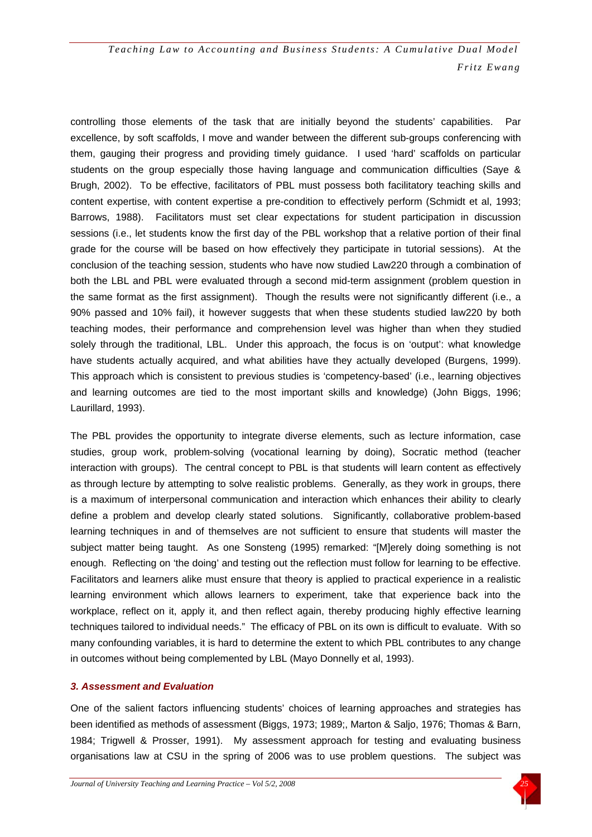controlling those elements of the task that are initially beyond the students' capabilities. Par excellence, by soft scaffolds, I move and wander between the different sub-groups conferencing with them, gauging their progress and providing timely guidance. I used 'hard' scaffolds on particular students on the group especially those having language and communication difficulties (Saye & Brugh, 2002). To be effective, facilitators of PBL must possess both facilitatory teaching skills and content expertise, with content expertise a pre-condition to effectively perform (Schmidt et al, 1993; Barrows, 1988). Facilitators must set clear expectations for student participation in discussion sessions (i.e., let students know the first day of the PBL workshop that a relative portion of their final grade for the course will be based on how effectively they participate in tutorial sessions). At the conclusion of the teaching session, students who have now studied Law220 through a combination of both the LBL and PBL were evaluated through a second mid-term assignment (problem question in the same format as the first assignment). Though the results were not significantly different (i.e., a 90% passed and 10% fail), it however suggests that when these students studied law220 by both teaching modes, their performance and comprehension level was higher than when they studied solely through the traditional, LBL. Under this approach, the focus is on 'output': what knowledge have students actually acquired, and what abilities have they actually developed (Burgens, 1999). This approach which is consistent to previous studies is 'competency-based' (i.e., learning objectives and learning outcomes are tied to the most important skills and knowledge) (John Biggs, 1996; Laurillard, 1993).

The PBL provides the opportunity to integrate diverse elements, such as lecture information, case studies, group work, problem-solving (vocational learning by doing), Socratic method (teacher interaction with groups). The central concept to PBL is that students will learn content as effectively as through lecture by attempting to solve realistic problems. Generally, as they work in groups, there is a maximum of interpersonal communication and interaction which enhances their ability to clearly define a problem and develop clearly stated solutions. Significantly, collaborative problem-based learning techniques in and of themselves are not sufficient to ensure that students will master the subject matter being taught. As one Sonsteng (1995) remarked: "[M]erely doing something is not enough. Reflecting on 'the doing' and testing out the reflection must follow for learning to be effective. Facilitators and learners alike must ensure that theory is applied to practical experience in a realistic learning environment which allows learners to experiment, take that experience back into the workplace, reflect on it, apply it, and then reflect again, thereby producing highly effective learning techniques tailored to individual needs." The efficacy of PBL on its own is difficult to evaluate. With so many confounding variables, it is hard to determine the extent to which PBL contributes to any change in outcomes without being complemented by LBL (Mayo Donnelly et al, 1993).

#### *3. Assessment and Evaluation*

One of the salient factors influencing students' choices of learning approaches and strategies has been identified as methods of assessment (Biggs, 1973; 1989;, Marton & Saljo, 1976; Thomas & Barn, 1984; Trigwell & Prosser, 1991). My assessment approach for testing and evaluating business organisations law at CSU in the spring of 2006 was to use problem questions. The subject was

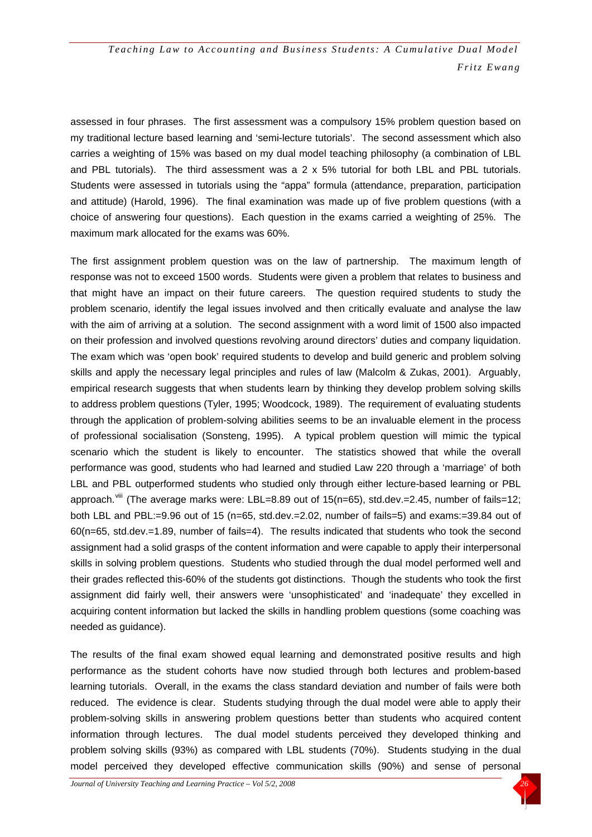assessed in four phrases. The first assessment was a compulsory 15% problem question based on my traditional lecture based learning and 'semi-lecture tutorials'. The second assessment which also carries a weighting of 15% was based on my dual model teaching philosophy (a combination of LBL and PBL tutorials). The third assessment was a 2 x 5% tutorial for both LBL and PBL tutorials. Students were assessed in tutorials using the "appa" formula (attendance, preparation, participation and attitude) (Harold, 1996). The final examination was made up of five problem questions (with a choice of answering four questions). Each question in the exams carried a weighting of 25%. The maximum mark allocated for the exams was 60%.

The first assignment problem question was on the law of partnership. The maximum length of response was not to exceed 1500 words. Students were given a problem that relates to business and that might have an impact on their future careers. The question required students to study the problem scenario, identify the legal issues involved and then critically evaluate and analyse the law with the aim of arriving at a solution. The second assignment with a word limit of 1500 also impacted on their profession and involved questions revolving around directors' duties and company liquidation. The exam which was 'open book' required students to develop and build generic and problem solving skills and apply the necessary legal principles and rules of law (Malcolm & Zukas, 2001). Arguably, empirical research suggests that when students learn by thinking they develop problem solving skills to address problem questions (Tyler, 1995; Woodcock, 1989). The requirement of evaluating students through the application of problem-solving abilities seems to be an invaluable element in the process of professional socialisation (Sonsteng, 1995). A typical problem question will mimic the typical scenario which the student is likely to encounter. The statistics showed that while the overall performance was good, students who had learned and studied Law 220 through a 'marriage' of both LBL and PBL outperformed students who studied only through either lecture-based learning or PBL approach.<sup>[viii](#page-24-2)</sup> (The average marks were: LBL=8.89 out of 15(n=65), std.dev.=2.45, number of fails=12; both LBL and PBL:=9.96 out of 15 (n=65, std.dev.=2.02, number of fails=5) and exams:=39.84 out of 60(n=65, std.dev.=1.89, number of fails=4). The results indicated that students who took the second assignment had a solid grasps of the content information and were capable to apply their interpersonal skills in solving problem questions. Students who studied through the dual model performed well and their grades reflected this-60% of the students got distinctions. Though the students who took the first assignment did fairly well, their answers were 'unsophisticated' and 'inadequate' they excelled in acquiring content information but lacked the skills in handling problem questions (some coaching was needed as guidance).

The results of the final exam showed equal learning and demonstrated positive results and high performance as the student cohorts have now studied through both lectures and problem-based learning tutorials. Overall, in the exams the class standard deviation and number of fails were both reduced. The evidence is clear. Students studying through the dual model were able to apply their problem-solving skills in answering problem questions better than students who acquired content information through lectures. The dual model students perceived they developed thinking and problem solving skills (93%) as compared with LBL students (70%). Students studying in the dual model perceived they developed effective communication skills (90%) and sense of personal

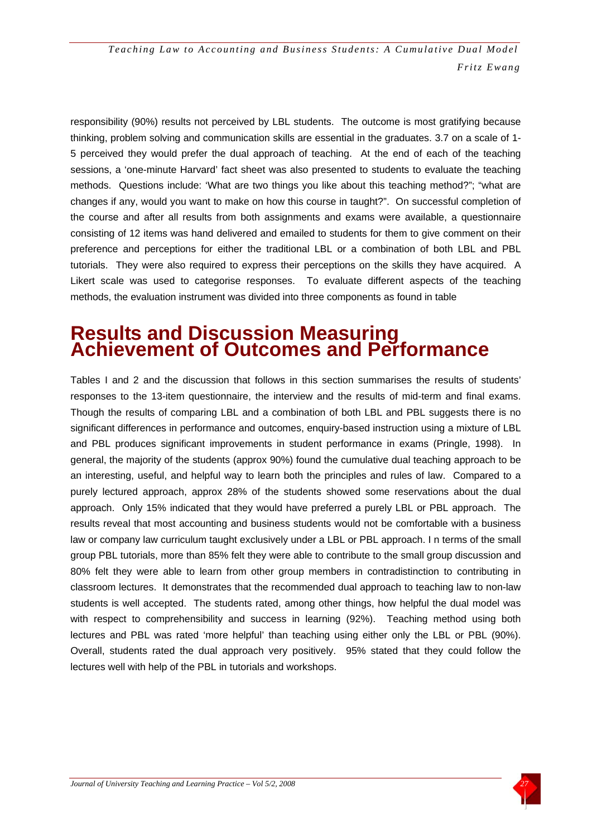responsibility (90%) results not perceived by LBL students. The outcome is most gratifying because thinking, problem solving and communication skills are essential in the graduates. 3.7 on a scale of 1- 5 perceived they would prefer the dual approach of teaching. At the end of each of the teaching sessions, a 'one-minute Harvard' fact sheet was also presented to students to evaluate the teaching methods. Questions include: 'What are two things you like about this teaching method?"; "what are changes if any, would you want to make on how this course in taught?". On successful completion of the course and after all results from both assignments and exams were available, a questionnaire consisting of 12 items was hand delivered and emailed to students for them to give comment on their preference and perceptions for either the traditional LBL or a combination of both LBL and PBL tutorials. They were also required to express their perceptions on the skills they have acquired. A Likert scale was used to categorise responses. To evaluate different aspects of the teaching methods, the evaluation instrument was divided into three components as found in table

### **Results and Discussion Measuring Achievement of Outcomes and Performance**

Tables I and 2 and the discussion that follows in this section summarises the results of students' responses to the 13-item questionnaire, the interview and the results of mid-term and final exams. Though the results of comparing LBL and a combination of both LBL and PBL suggests there is no significant differences in performance and outcomes, enquiry-based instruction using a mixture of LBL and PBL produces significant improvements in student performance in exams (Pringle, 1998). In general, the majority of the students (approx 90%) found the cumulative dual teaching approach to be an interesting, useful, and helpful way to learn both the principles and rules of law. Compared to a purely lectured approach, approx 28% of the students showed some reservations about the dual approach. Only 15% indicated that they would have preferred a purely LBL or PBL approach. The results reveal that most accounting and business students would not be comfortable with a business law or company law curriculum taught exclusively under a LBL or PBL approach. I n terms of the small group PBL tutorials, more than 85% felt they were able to contribute to the small group discussion and 80% felt they were able to learn from other group members in contradistinction to contributing in classroom lectures. It demonstrates that the recommended dual approach to teaching law to non-law students is well accepted. The students rated, among other things, how helpful the dual model was with respect to comprehensibility and success in learning (92%). Teaching method using both lectures and PBL was rated 'more helpful' than teaching using either only the LBL or PBL (90%). Overall, students rated the dual approach very positively. 95% stated that they could follow the lectures well with help of the PBL in tutorials and workshops.

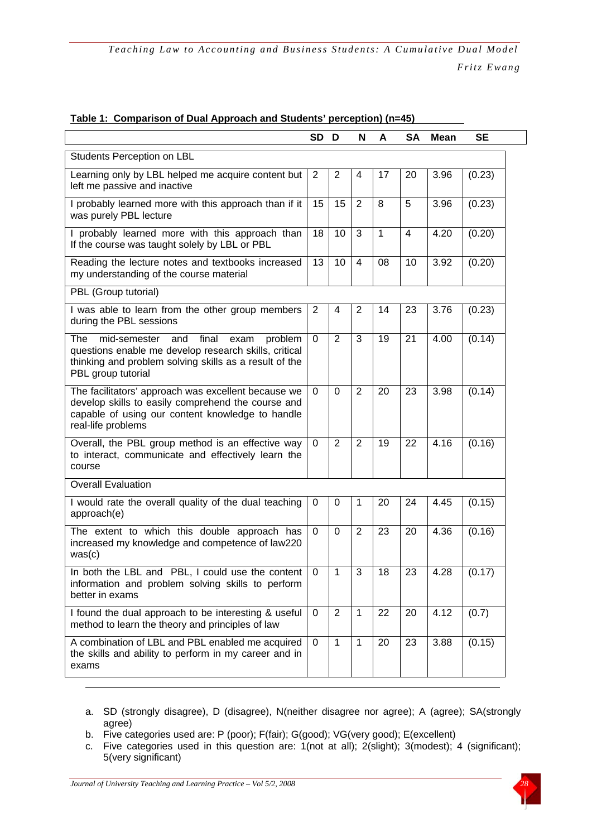|                                                                                                                                                                                                 | <b>SD</b>   | D              | N              | A  | <b>SA</b>      | <b>Mean</b> | <b>SE</b> |
|-------------------------------------------------------------------------------------------------------------------------------------------------------------------------------------------------|-------------|----------------|----------------|----|----------------|-------------|-----------|
| Students Perception on LBL                                                                                                                                                                      |             |                |                |    |                |             |           |
| Learning only by LBL helped me acquire content but<br>left me passive and inactive                                                                                                              | 2           | $\overline{2}$ | 4              | 17 | 20             | 3.96        | (0.23)    |
| I probably learned more with this approach than if it<br>was purely PBL lecture                                                                                                                 | 15          | 15             | 2              | 8  | 5              | 3.96        | (0.23)    |
| I probably learned more with this approach than<br>If the course was taught solely by LBL or PBL                                                                                                | 18          | 10             | 3              | 1  | $\overline{4}$ | 4.20        | (0.20)    |
| Reading the lecture notes and textbooks increased<br>my understanding of the course material                                                                                                    | 13          | 10             | $\overline{4}$ | 08 | 10             | 3.92        | (0.20)    |
| PBL (Group tutorial)                                                                                                                                                                            |             |                |                |    |                |             |           |
| I was able to learn from the other group members<br>during the PBL sessions                                                                                                                     | 2           | $\overline{4}$ | 2              | 14 | 23             | 3.76        | (0.23)    |
| mid-semester<br>The<br>final<br>and<br>problem<br>exam<br>questions enable me develop research skills, critical<br>thinking and problem solving skills as a result of the<br>PBL group tutorial | $\mathbf 0$ | $\overline{2}$ | 3              | 19 | 21             | 4.00        | (0.14)    |
| The facilitators' approach was excellent because we<br>develop skills to easily comprehend the course and<br>capable of using our content knowledge to handle<br>real-life problems             | $\Omega$    | $\mathbf 0$    | $\overline{2}$ | 20 | 23             | 3.98        | (0.14)    |
| Overall, the PBL group method is an effective way<br>to interact, communicate and effectively learn the<br>course                                                                               | $\mathbf 0$ | $\overline{2}$ | $\overline{2}$ | 19 | 22             | 4.16        | (0.16)    |
| <b>Overall Evaluation</b>                                                                                                                                                                       |             |                |                |    |                |             |           |
| I would rate the overall quality of the dual teaching<br>approach(e)                                                                                                                            | 0           | 0              | $\mathbf{1}$   | 20 | 24             | 4.45        | (0.15)    |
| The extent to which this double approach has<br>increased my knowledge and competence of law220<br>was(c)                                                                                       | $\mathbf 0$ | $\mathbf 0$    | 2              | 23 | 20             | 4.36        | (0.16)    |
| In both the LBL and PBL, I could use the content $\vert 0 \rangle$<br>information and problem solving skills to perform<br>better in exams                                                      |             | $\overline{1}$ | $\mathfrak{S}$ | 18 | 23             | 4.28        | (0.17)    |
| I found the dual approach to be interesting & useful<br>method to learn the theory and principles of law                                                                                        | 0           | $\overline{2}$ | $\mathbf{1}$   | 22 | 20             | 4.12        | (0.7)     |
| A combination of LBL and PBL enabled me acquired<br>the skills and ability to perform in my career and in<br>exams                                                                              | $\Omega$    | $\mathbf{1}$   | $\mathbf{1}$   | 20 | 23             | 3.88        | (0.15)    |

#### **Table 1: Comparison of Dual Approach and Students' perception) (n=45)**

- a. SD (strongly disagree), D (disagree), N(neither disagree nor agree); A (agree); SA(strongly agree)
- b. Five categories used are: P (poor); F(fair); G(good); VG(very good); E(excellent)
- c. Five categories used in this question are: 1(not at all); 2(slight); 3(modest); 4 (significant); 5(very significant)

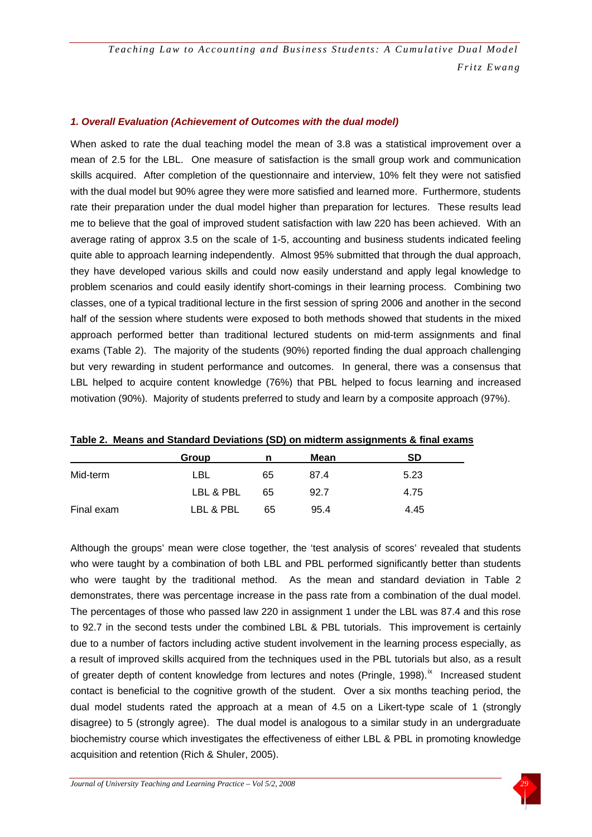#### *1. Overall Evaluation (Achievement of Outcomes with the dual model)*

When asked to rate the dual teaching model the mean of 3.8 was a statistical improvement over a mean of 2.5 for the LBL. One measure of satisfaction is the small group work and communication skills acquired. After completion of the questionnaire and interview, 10% felt they were not satisfied with the dual model but 90% agree they were more satisfied and learned more. Furthermore, students rate their preparation under the dual model higher than preparation for lectures. These results lead me to believe that the goal of improved student satisfaction with law 220 has been achieved. With an average rating of approx 3.5 on the scale of 1-5, accounting and business students indicated feeling quite able to approach learning independently. Almost 95% submitted that through the dual approach, they have developed various skills and could now easily understand and apply legal knowledge to problem scenarios and could easily identify short-comings in their learning process. Combining two classes, one of a typical traditional lecture in the first session of spring 2006 and another in the second half of the session where students were exposed to both methods showed that students in the mixed approach performed better than traditional lectured students on mid-term assignments and final exams (Table 2). The majority of the students (90%) reported finding the dual approach challenging but very rewarding in student performance and outcomes. In general, there was a consensus that LBL helped to acquire content knowledge (76%) that PBL helped to focus learning and increased motivation (90%). Majority of students preferred to study and learn by a composite approach (97%).

|            | Group     | n  | Mean | <b>SD</b> |
|------------|-----------|----|------|-----------|
| Mid-term   | LBL       | 65 | 87.4 | 5.23      |
|            | LBL & PBL | 65 | 92.7 | 4.75      |
| Final exam | LBL & PBL | 65 | 95.4 | 4.45      |

Although the groups' mean were close together, the 'test analysis of scores' revealed that students who were taught by a combination of both LBL and PBL performed significantly better than students who were taught by the traditional method. As the mean and standard deviation in Table 2 demonstrates, there was percentage increase in the pass rate from a combination of the dual model. The percentages of those who passed law 220 in assignment 1 under the LBL was 87.4 and this rose to 92.7 in the second tests under the combined LBL & PBL tutorials. This improvement is certainly due to a number of factors including active student involvement in the learning process especially, as a result of improved skills acquired from the techniques used in the PBL tutorials but also, as a result of greater depth of content knowledge from lectures and notes (Pringle, 1998).<sup>[ix](#page-25-0)</sup> Increased student contact is beneficial to the cognitive growth of the student. Over a six months teaching period, the dual model students rated the approach at a mean of 4.5 on a Likert-type scale of 1 (strongly disagree) to 5 (strongly agree). The dual model is analogous to a similar study in an undergraduate biochemistry course which investigates the effectiveness of either LBL & PBL in promoting knowledge acquisition and retention (Rich & Shuler, 2005).

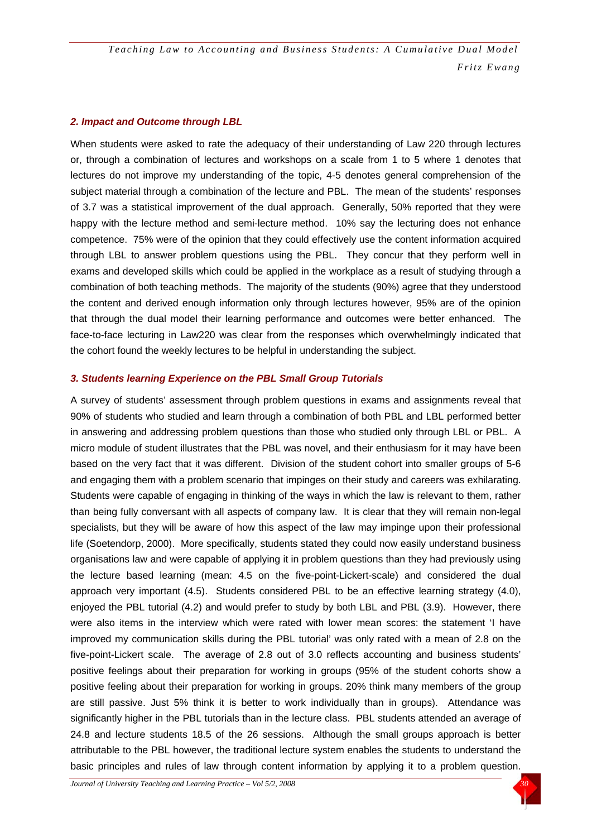#### *2. Impact and Outcome through LBL*

When students were asked to rate the adequacy of their understanding of Law 220 through lectures or, through a combination of lectures and workshops on a scale from 1 to 5 where 1 denotes that lectures do not improve my understanding of the topic, 4-5 denotes general comprehension of the subject material through a combination of the lecture and PBL. The mean of the students' responses of 3.7 was a statistical improvement of the dual approach. Generally, 50% reported that they were happy with the lecture method and semi-lecture method. 10% say the lecturing does not enhance competence. 75% were of the opinion that they could effectively use the content information acquired through LBL to answer problem questions using the PBL. They concur that they perform well in exams and developed skills which could be applied in the workplace as a result of studying through a combination of both teaching methods. The majority of the students (90%) agree that they understood the content and derived enough information only through lectures however, 95% are of the opinion that through the dual model their learning performance and outcomes were better enhanced. The face-to-face lecturing in Law220 was clear from the responses which overwhelmingly indicated that the cohort found the weekly lectures to be helpful in understanding the subject.

#### *3. Students learning Experience on the PBL Small Group Tutorials*

A survey of students' assessment through problem questions in exams and assignments reveal that 90% of students who studied and learn through a combination of both PBL and LBL performed better in answering and addressing problem questions than those who studied only through LBL or PBL. A micro module of student illustrates that the PBL was novel, and their enthusiasm for it may have been based on the very fact that it was different. Division of the student cohort into smaller groups of 5-6 and engaging them with a problem scenario that impinges on their study and careers was exhilarating. Students were capable of engaging in thinking of the ways in which the law is relevant to them, rather than being fully conversant with all aspects of company law. It is clear that they will remain non-legal specialists, but they will be aware of how this aspect of the law may impinge upon their professional life (Soetendorp, 2000). More specifically, students stated they could now easily understand business organisations law and were capable of applying it in problem questions than they had previously using the lecture based learning (mean: 4.5 on the five-point-Lickert-scale) and considered the dual approach very important (4.5). Students considered PBL to be an effective learning strategy (4.0), enjoyed the PBL tutorial (4.2) and would prefer to study by both LBL and PBL (3.9). However, there were also items in the interview which were rated with lower mean scores: the statement 'I have improved my communication skills during the PBL tutorial' was only rated with a mean of 2.8 on the five-point-Lickert scale. The average of 2.8 out of 3.0 reflects accounting and business students' positive feelings about their preparation for working in groups (95% of the student cohorts show a positive feeling about their preparation for working in groups. 20% think many members of the group are still passive. Just 5% think it is better to work individually than in groups). Attendance was significantly higher in the PBL tutorials than in the lecture class. PBL students attended an average of 24.8 and lecture students 18.5 of the 26 sessions. Although the small groups approach is better attributable to the PBL however, the traditional lecture system enables the students to understand the basic principles and rules of law through content information by applying it to a problem question.

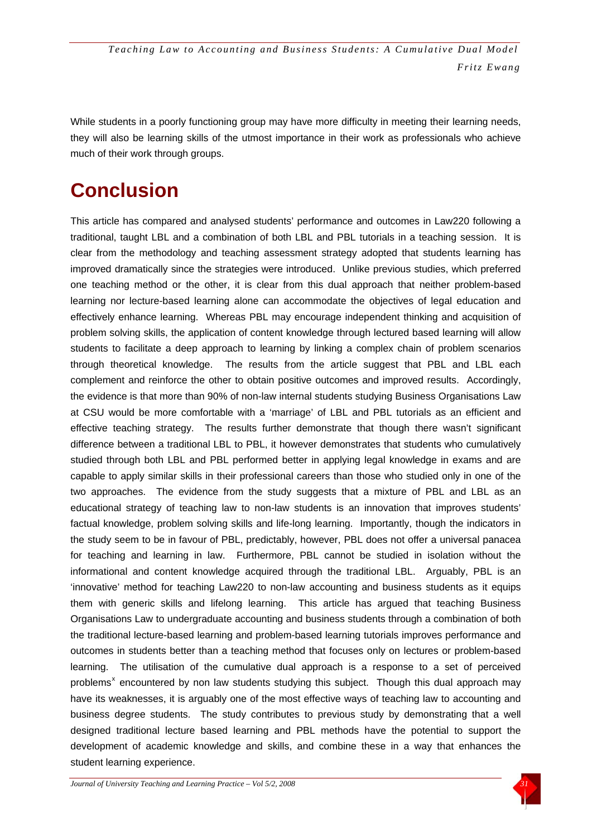While students in a poorly functioning group may have more difficulty in meeting their learning needs, they will also be learning skills of the utmost importance in their work as professionals who achieve much of their work through groups.

# **Conclusion**

This article has compared and analysed students' performance and outcomes in Law220 following a traditional, taught LBL and a combination of both LBL and PBL tutorials in a teaching session. It is clear from the methodology and teaching assessment strategy adopted that students learning has improved dramatically since the strategies were introduced. Unlike previous studies, which preferred one teaching method or the other, it is clear from this dual approach that neither problem-based learning nor lecture-based learning alone can accommodate the objectives of legal education and effectively enhance learning. Whereas PBL may encourage independent thinking and acquisition of problem solving skills, the application of content knowledge through lectured based learning will allow students to facilitate a deep approach to learning by linking a complex chain of problem scenarios through theoretical knowledge. The results from the article suggest that PBL and LBL each complement and reinforce the other to obtain positive outcomes and improved results. Accordingly, the evidence is that more than 90% of non-law internal students studying Business Organisations Law at CSU would be more comfortable with a 'marriage' of LBL and PBL tutorials as an efficient and effective teaching strategy. The results further demonstrate that though there wasn't significant difference between a traditional LBL to PBL, it however demonstrates that students who cumulatively studied through both LBL and PBL performed better in applying legal knowledge in exams and are capable to apply similar skills in their professional careers than those who studied only in one of the two approaches. The evidence from the study suggests that a mixture of PBL and LBL as an educational strategy of teaching law to non-law students is an innovation that improves students' factual knowledge, problem solving skills and life-long learning. Importantly, though the indicators in the study seem to be in favour of PBL, predictably, however, PBL does not offer a universal panacea for teaching and learning in law. Furthermore, PBL cannot be studied in isolation without the informational and content knowledge acquired through the traditional LBL. Arguably, PBL is an 'innovative' method for teaching Law220 to non-law accounting and business students as it equips them with generic skills and lifelong learning. This article has argued that teaching Business Organisations Law to undergraduate accounting and business students through a combination of both the traditional lecture-based learning and problem-based learning tutorials improves performance and outcomes in students better than a teaching method that focuses only on lectures or problem-based learning. The utilisation of the cumulative dual approach is a response to a set of perceived problems<sup>[x](#page-25-0)</sup> encountered by non law students studying this subject. Though this dual approach may have its weaknesses, it is arguably one of the most effective ways of teaching law to accounting and business degree students. The study contributes to previous study by demonstrating that a well designed traditional lecture based learning and PBL methods have the potential to support the development of academic knowledge and skills, and combine these in a way that enhances the student learning experience.

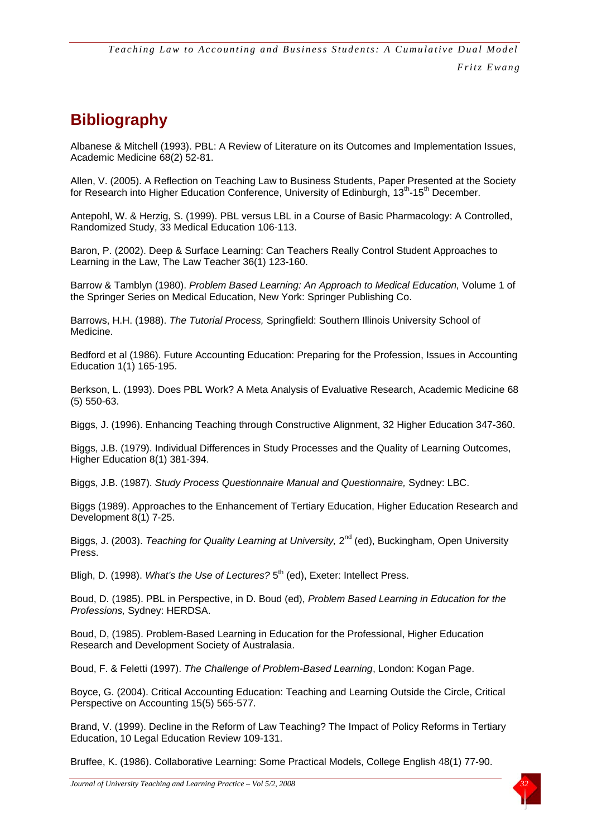### **Bibliography**

Albanese & Mitchell (1993). PBL: A Review of Literature on its Outcomes and Implementation Issues, Academic Medicine 68(2) 52-81.

Allen, V. (2005). A Reflection on Teaching Law to Business Students, Paper Presented at the Society for Research into Higher Education Conference, University of Edinburgh, 13<sup>th</sup>-15<sup>th</sup> December.

Antepohl, W. & Herzig, S. (1999). PBL versus LBL in a Course of Basic Pharmacology: A Controlled, Randomized Study, 33 Medical Education 106-113.

Baron, P. (2002). Deep & Surface Learning: Can Teachers Really Control Student Approaches to Learning in the Law, The Law Teacher 36(1) 123-160.

Barrow & Tamblyn (1980). *Problem Based Learning: An Approach to Medical Education,* Volume 1 of the Springer Series on Medical Education, New York: Springer Publishing Co.

Barrows, H.H. (1988). *The Tutorial Process,* Springfield: Southern Illinois University School of Medicine.

Bedford et al (1986). Future Accounting Education: Preparing for the Profession, Issues in Accounting Education 1(1) 165-195.

Berkson, L. (1993). Does PBL Work? A Meta Analysis of Evaluative Research, Academic Medicine 68 (5) 550-63.

Biggs, J. (1996). Enhancing Teaching through Constructive Alignment, 32 Higher Education 347-360.

Biggs, J.B. (1979). Individual Differences in Study Processes and the Quality of Learning Outcomes, Higher Education 8(1) 381-394.

Biggs, J.B. (1987). *Study Process Questionnaire Manual and Questionnaire,* Sydney: LBC.

Biggs (1989). Approaches to the Enhancement of Tertiary Education, Higher Education Research and Development 8(1) 7-25.

Biggs, J. (2003). *Teaching for Quality Learning at University*, 2<sup>nd</sup> (ed), Buckingham, Open University Press.

Bligh, D. (1998). *What's the Use of Lectures?* 5<sup>th</sup> (ed), Exeter: Intellect Press.

Boud, D. (1985). PBL in Perspective, in D. Boud (ed), *Problem Based Learning in Education for the Professions,* Sydney: HERDSA.

Boud, D, (1985). Problem-Based Learning in Education for the Professional, Higher Education Research and Development Society of Australasia.

Boud, F. & Feletti (1997). *The Challenge of Problem-Based Learning*, London: Kogan Page.

Boyce, G. (2004). Critical Accounting Education: Teaching and Learning Outside the Circle, Critical Perspective on Accounting 15(5) 565-577.

Brand, V. (1999). Decline in the Reform of Law Teaching? The Impact of Policy Reforms in Tertiary Education, 10 Legal Education Review 109-131.

Bruffee, K. (1986). Collaborative Learning: Some Practical Models, College English 48(1) 77-90.

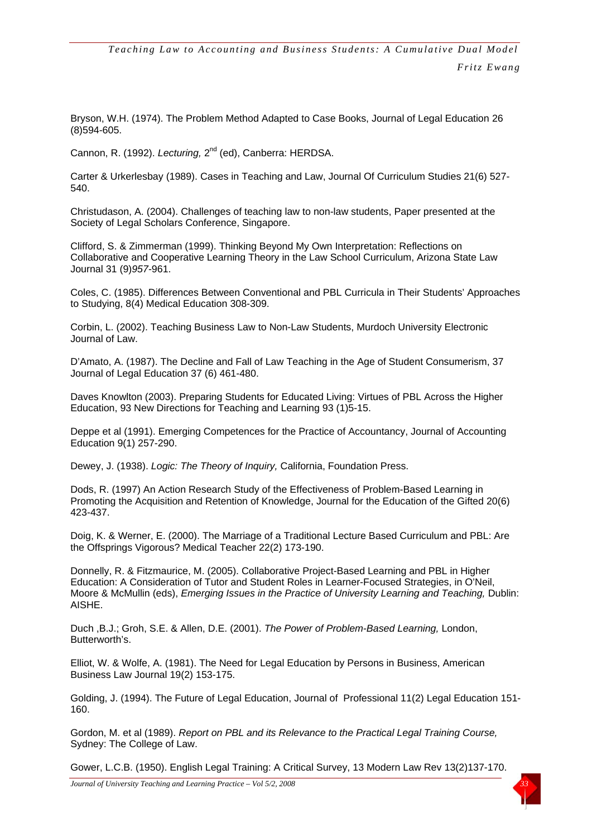Bryson, W.H. (1974). The Problem Method Adapted to Case Books, Journal of Legal Education 26 (8)594-605.

Cannon, R. (1992). *Lecturing*, 2<sup>nd</sup> (ed), Canberra: HERDSA.

Carter & Urkerlesbay (1989). Cases in Teaching and Law, Journal Of Curriculum Studies 21(6) 527- 540.

Christudason, A. (2004). Challenges of teaching law to non-law students, Paper presented at the Society of Legal Scholars Conference, Singapore.

Clifford, S. & Zimmerman (1999). Thinking Beyond My Own Interpretation: Reflections on Collaborative and Cooperative Learning Theory in the Law School Curriculum, Arizona State Law Journal 31 (9)*957*-961.

Coles, C. (1985). Differences Between Conventional and PBL Curricula in Their Students' Approaches to Studying, 8(4) Medical Education 308-309.

Corbin, L. (2002). Teaching Business Law to Non-Law Students, Murdoch University Electronic Journal of Law.

D'Amato, A. (1987). The Decline and Fall of Law Teaching in the Age of Student Consumerism, 37 Journal of Legal Education 37 (6) 461-480.

Daves Knowlton (2003). Preparing Students for Educated Living: Virtues of PBL Across the Higher Education, 93 New Directions for Teaching and Learning 93 (1)5-15.

Deppe et al (1991). Emerging Competences for the Practice of Accountancy, Journal of Accounting Education 9(1) 257-290.

Dewey, J. (1938). *Logic: The Theory of Inquiry,* California, Foundation Press.

Dods, R. (1997) An Action Research Study of the Effectiveness of Problem-Based Learning in Promoting the Acquisition and Retention of Knowledge, Journal for the Education of the Gifted 20(6) 423-437.

Doig, K. & Werner, E. (2000). The Marriage of a Traditional Lecture Based Curriculum and PBL: Are the Offsprings Vigorous? Medical Teacher 22(2) 173-190.

Donnelly, R. & Fitzmaurice, M. (2005). Collaborative Project-Based Learning and PBL in Higher Education: A Consideration of Tutor and Student Roles in Learner-Focused Strategies, in O'Neil, Moore & McMullin (eds), *Emerging Issues in the Practice of University Learning and Teaching,* Dublin: AISHE.

Duch ,B.J.; Groh, S.E. & Allen, D.E. (2001). *The Power of Problem-Based Learning,* London, Butterworth's.

Elliot, W. & Wolfe, A. (1981). The Need for Legal Education by Persons in Business, American Business Law Journal 19(2) 153-175.

Golding, J. (1994). The Future of Legal Education, Journal of Professional 11(2) Legal Education 151- 160.

Gordon, M. et al (1989). *Report on PBL and its Relevance to the Practical Legal Training Course,*  Sydney: The College of Law.

Gower, L.C.B. (1950). English Legal Training: A Critical Survey, 13 Modern Law Rev 13(2)137-170.

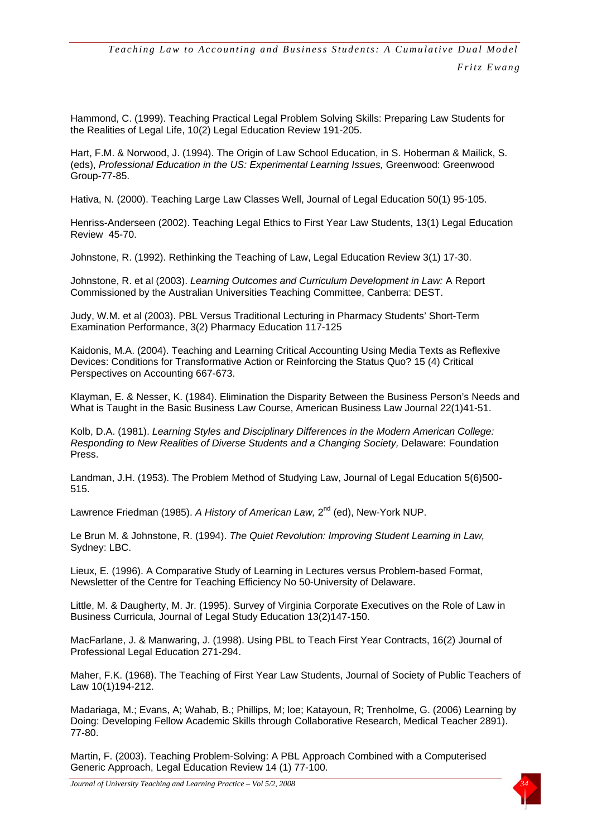Hammond, C. (1999). Teaching Practical Legal Problem Solving Skills: Preparing Law Students for the Realities of Legal Life, 10(2) Legal Education Review 191-205.

Hart, F.M. & Norwood, J. (1994). The Origin of Law School Education, in S. Hoberman & Mailick, S. (eds), *Professional Education in the US: Experimental Learning Issues,* Greenwood: Greenwood Group-77-85.

Hativa, N. (2000). Teaching Large Law Classes Well, Journal of Legal Education 50(1) 95-105.

Henriss-Anderseen (2002). Teaching Legal Ethics to First Year Law Students, 13(1) Legal Education Review 45-70.

Johnstone, R. (1992). Rethinking the Teaching of Law, Legal Education Review 3(1) 17-30.

Johnstone, R. et al (2003). *Learning Outcomes and Curriculum Development in Law:* A Report Commissioned by the Australian Universities Teaching Committee, Canberra: DEST.

Judy, W.M. et al (2003). PBL Versus Traditional Lecturing in Pharmacy Students' Short-Term Examination Performance, 3(2) Pharmacy Education 117-125

Kaidonis, M.A. (2004). Teaching and Learning Critical Accounting Using Media Texts as Reflexive Devices: Conditions for Transformative Action or Reinforcing the Status Quo? 15 (4) Critical Perspectives on Accounting 667-673.

Klayman, E. & Nesser, K. (1984). Elimination the Disparity Between the Business Person's Needs and What is Taught in the Basic Business Law Course, American Business Law Journal 22(1)41-51.

Kolb, D.A. (1981). *Learning Styles and Disciplinary Differences in the Modern American College: Responding to New Realities of Diverse Students and a Changing Society,* Delaware: Foundation Press.

Landman, J.H. (1953). The Problem Method of Studying Law, Journal of Legal Education 5(6)500- 515.

Lawrence Friedman (1985). A History of American Law, 2<sup>nd</sup> (ed), New-York NUP.

Le Brun M. & Johnstone, R. (1994). *The Quiet Revolution: Improving Student Learning in Law,*  Sydney: LBC.

Lieux, E. (1996). A Comparative Study of Learning in Lectures versus Problem-based Format, Newsletter of the Centre for Teaching Efficiency No 50-University of Delaware.

Little, M. & Daugherty, M. Jr. (1995). Survey of Virginia Corporate Executives on the Role of Law in Business Curricula, Journal of Legal Study Education 13(2)147-150.

MacFarlane, J. & Manwaring, J. (1998). Using PBL to Teach First Year Contracts, 16(2) Journal of Professional Legal Education 271-294.

Maher, F.K. (1968). The Teaching of First Year Law Students, Journal of Society of Public Teachers of Law 10(1)194-212.

Madariaga, M.; Evans, A; Wahab, B.; Phillips, M; loe; Katayoun, R; Trenholme, G. (2006) Learning by Doing: Developing Fellow Academic Skills through Collaborative Research, Medical Teacher 2891). 77-80.

Martin, F. (2003). Teaching Problem-Solving: A PBL Approach Combined with a Computerised Generic Approach, Legal Education Review 14 (1) 77-100.



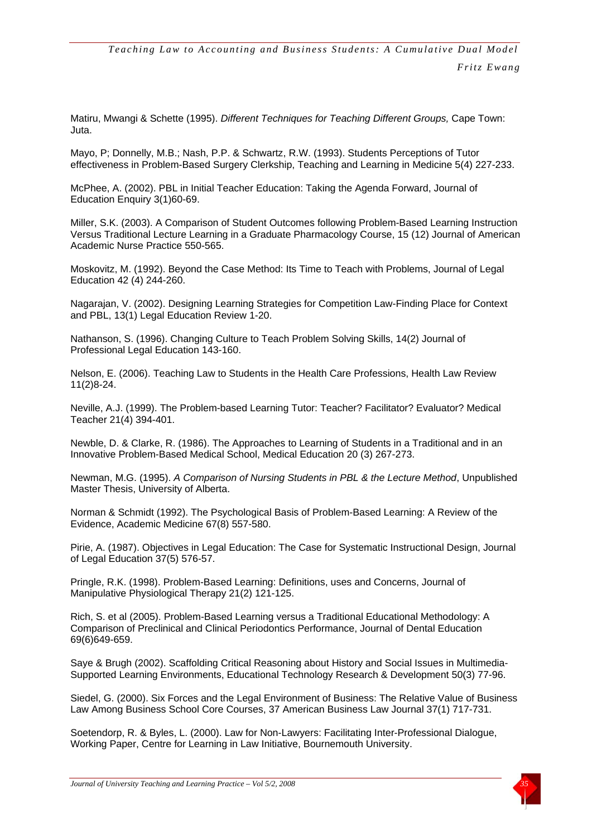Matiru, Mwangi & Schette (1995). *Different Techniques for Teaching Different Groups,* Cape Town: Juta.

Mayo, P; Donnelly, M.B.; Nash, P.P. & Schwartz, R.W. (1993). Students Perceptions of Tutor effectiveness in Problem-Based Surgery Clerkship, Teaching and Learning in Medicine 5(4) 227-233.

McPhee, A. (2002). PBL in Initial Teacher Education: Taking the Agenda Forward, Journal of Education Enquiry 3(1)60-69.

Miller, S.K. (2003). A Comparison of Student Outcomes following Problem-Based Learning Instruction Versus Traditional Lecture Learning in a Graduate Pharmacology Course, 15 (12) Journal of American Academic Nurse Practice 550-565.

Moskovitz, M. (1992). Beyond the Case Method: Its Time to Teach with Problems, Journal of Legal Education 42 (4) 244-260.

Nagarajan, V. (2002). Designing Learning Strategies for Competition Law-Finding Place for Context and PBL, 13(1) Legal Education Review 1-20.

Nathanson, S. (1996). Changing Culture to Teach Problem Solving Skills, 14(2) Journal of Professional Legal Education 143-160.

Nelson, E. (2006). Teaching Law to Students in the Health Care Professions, Health Law Review 11(2)8-24.

Neville, A.J. (1999). The Problem-based Learning Tutor: Teacher? Facilitator? Evaluator? Medical Teacher 21(4) 394-401.

Newble, D. & Clarke, R. (1986). The Approaches to Learning of Students in a Traditional and in an Innovative Problem-Based Medical School, Medical Education 20 (3) 267-273.

Newman, M.G. (1995). *A Comparison of Nursing Students in PBL & the Lecture Method*, Unpublished Master Thesis, University of Alberta.

Norman & Schmidt (1992). The Psychological Basis of Problem-Based Learning: A Review of the Evidence, Academic Medicine 67(8) 557-580.

Pirie, A. (1987). Objectives in Legal Education: The Case for Systematic Instructional Design, Journal of Legal Education 37(5) 576-57.

Pringle, R.K. (1998). Problem-Based Learning: Definitions, uses and Concerns, Journal of Manipulative Physiological Therapy 21(2) 121-125.

Rich, S. et al (2005). Problem-Based Learning versus a Traditional Educational Methodology: A Comparison of Preclinical and Clinical Periodontics Performance, Journal of Dental Education 69(6)649-659.

Saye & Brugh (2002). Scaffolding Critical Reasoning about History and Social Issues in Multimedia-Supported Learning Environments, Educational Technology Research & Development 50(3) 77-96.

Siedel, G. (2000). Six Forces and the Legal Environment of Business: The Relative Value of Business Law Among Business School Core Courses, 37 American Business Law Journal 37(1) 717-731.

Soetendorp, R. & Byles, L. (2000). Law for Non-Lawyers: Facilitating Inter-Professional Dialogue, Working Paper, Centre for Learning in Law Initiative, Bournemouth University.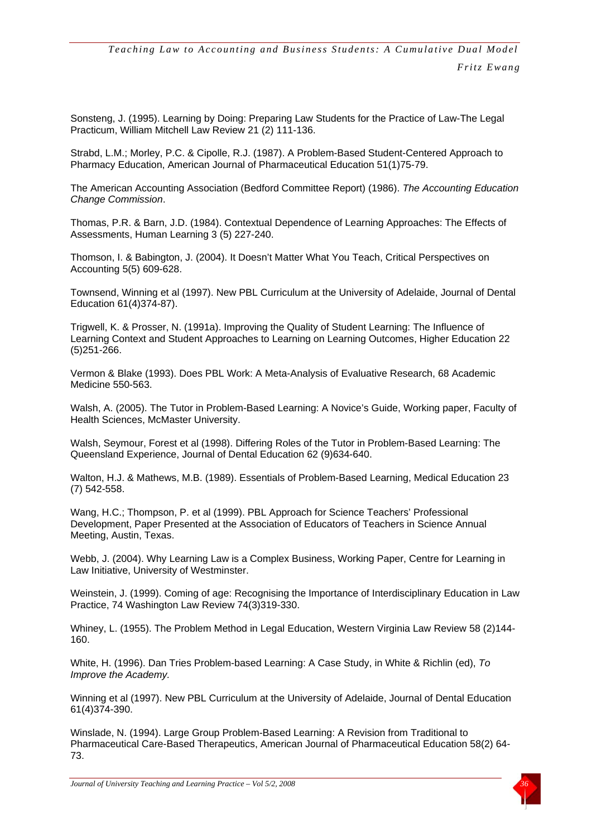Sonsteng, J. (1995). Learning by Doing: Preparing Law Students for the Practice of Law-The Legal Practicum, William Mitchell Law Review 21 (2) 111-136.

Strabd, L.M.; Morley, P.C. & Cipolle, R.J. (1987). A Problem-Based Student-Centered Approach to Pharmacy Education, American Journal of Pharmaceutical Education 51(1)75-79.

The American Accounting Association (Bedford Committee Report) (1986). *The Accounting Education Change Commission*.

Thomas, P.R. & Barn, J.D. (1984). Contextual Dependence of Learning Approaches: The Effects of Assessments, Human Learning 3 (5) 227-240.

Thomson, I. & Babington, J. (2004). It Doesn't Matter What You Teach, Critical Perspectives on Accounting 5(5) 609-628.

Townsend, Winning et al (1997). New PBL Curriculum at the University of Adelaide, Journal of Dental Education 61(4)374-87).

Trigwell, K. & Prosser, N. (1991a). Improving the Quality of Student Learning: The Influence of Learning Context and Student Approaches to Learning on Learning Outcomes, Higher Education 22 (5)251-266.

Vermon & Blake (1993). Does PBL Work: A Meta-Analysis of Evaluative Research, 68 Academic Medicine 550-563.

Walsh, A. (2005). The Tutor in Problem-Based Learning: A Novice's Guide, Working paper, Faculty of Health Sciences, McMaster University.

Walsh, Seymour, Forest et al (1998). Differing Roles of the Tutor in Problem-Based Learning: The Queensland Experience, Journal of Dental Education 62 (9)634-640.

Walton, H.J. & Mathews, M.B. (1989). Essentials of Problem-Based Learning, Medical Education 23 (7) 542-558.

Wang, H.C.; Thompson, P. et al (1999). PBL Approach for Science Teachers' Professional Development, Paper Presented at the Association of Educators of Teachers in Science Annual Meeting, Austin, Texas.

Webb, J. (2004). Why Learning Law is a Complex Business, Working Paper, Centre for Learning in Law Initiative, University of Westminster.

Weinstein, J. (1999). Coming of age: Recognising the Importance of Interdisciplinary Education in Law Practice, 74 Washington Law Review 74(3)319-330.

Whiney, L. (1955). The Problem Method in Legal Education, Western Virginia Law Review 58 (2)144- 160.

White, H. (1996). Dan Tries Problem-based Learning: A Case Study, in White & Richlin (ed), *To Improve the Academy.* 

Winning et al (1997). New PBL Curriculum at the University of Adelaide, Journal of Dental Education 61(4)374-390.

Winslade, N. (1994). Large Group Problem-Based Learning: A Revision from Traditional to Pharmaceutical Care-Based Therapeutics, American Journal of Pharmaceutical Education 58(2) 64- 73.

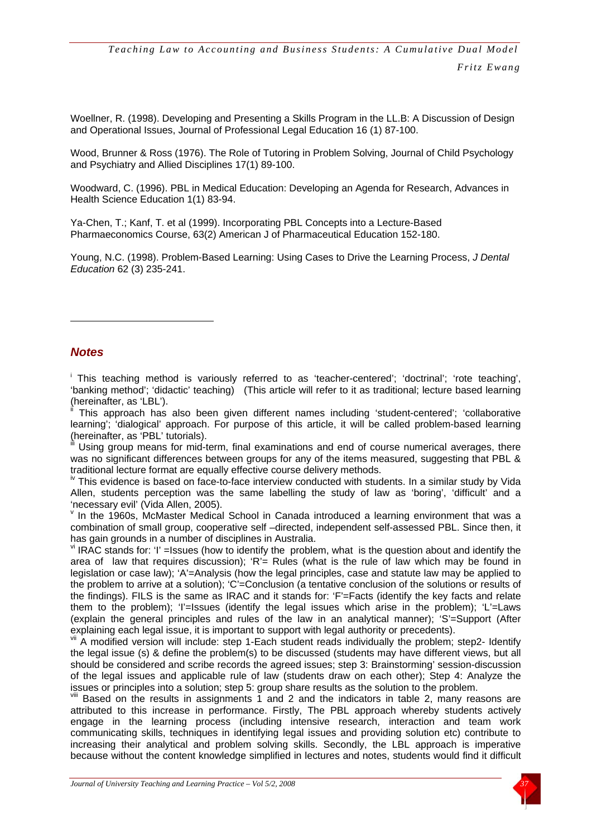<span id="page-24-2"></span>Woellner, R. (1998). Developing and Presenting a Skills Program in the LL.B: A Discussion of Design and Operational Issues, Journal of Professional Legal Education 16 (1) 87-100.

Wood, Brunner & Ross (1976). The Role of Tutoring in Problem Solving, Journal of Child Psychology and Psychiatry and Allied Disciplines 17(1) 89-100.

<span id="page-24-1"></span>Woodward, C. (1996). PBL in Medical Education: Developing an Agenda for Research, Advances in Health Science Education 1(1) 83-94.

Ya-Chen, T.; Kanf, T. et al (1999). Incorporating PBL Concepts into a Lecture-Based Pharmaeconomics Course, 63(2) American J of Pharmaceutical Education 152-180.

Young, N.C. (1998). Problem-Based Learning: Using Cases to Drive the Learning Process, *J Dental Education* 62 (3) 235-241.

#### <span id="page-24-0"></span>*Notes*

1

<sup>i</sup> This teaching method is variously referred to as 'teacher-centered'; 'doctrinal'; 'rote teaching', 'banking method'; 'didactic' teaching) (This article will refer to it as traditional; lecture based learning (hereinafter, as 'LBL').

This approach has also been given different names including 'student-centered'; 'collaborative learning'; 'dialogical' approach. For purpose of this article, it will be called problem-based learning (hereinafter, as 'PBL' tutorials).

Using group means for mid-term, final examinations and end of course numerical averages, there was no significant differences between groups for any of the items measured, suggesting that PBL &

traditional lecture format are equally effective course delivery methods.<br><sup>iv</sup> This evidence is based on face-to-face interview conducted with students. In a similar study by Vida Allen, students perception was the same labelling the study of law as 'boring', 'difficult' and a 'necessary evil' (Vida Allen, 2005).

 $\mathrm{v}$  In the 1960s, McMaster Medical School in Canada introduced a learning environment that was a combination of small group, cooperative self –directed, independent self-assessed PBL. Since then, it has gain grounds in a number of disciplines in Australia.

 $\frac{v}{v}$  IRAC stands for: 'I' =Issues (how to identify the problem, what is the question about and identify the area of law that requires discussion); 'R'= Rules (what is the rule of law which may be found in legislation or case law); 'A'=Analysis (how the legal principles, case and statute law may be applied to the problem to arrive at a solution); 'C'=Conclusion (a tentative conclusion of the solutions or results of the findings). FILS is the same as IRAC and it stands for: 'F'=Facts (identify the key facts and relate them to the problem); 'I'=Issues (identify the legal issues which arise in the problem); 'L'=Laws (explain the general principles and rules of the law in an analytical manner); 'S'=Support (After explaining each legal issue, it is important to support with legal authority or precedents).

vii A modified version will include: step 1-Each student reads individually the problem; step2- Identify the legal issue (s) & define the problem(s) to be discussed (students may have different views, but all should be considered and scribe records the agreed issues; step 3: Brainstorming' session-discussion of the legal issues and applicable rule of law (students draw on each other); Step 4: Analyze the issues or principles into a solution; step 5: group share results as the solution to the problem.

 $VIII$  Based on the results in assignments 1 and 2 and the indicators in table 2, many reasons are attributed to this increase in performance. Firstly, The PBL approach whereby students actively engage in the learning process (including intensive research, interaction and team work communicating skills, techniques in identifying legal issues and providing solution etc) contribute to increasing their analytical and problem solving skills. Secondly, the LBL approach is imperative because without the content knowledge simplified in lectures and notes, students would find it difficult